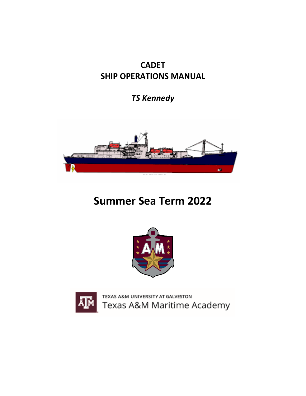## **CADET SHIP OPERATIONS MANUAL**

### *TS Kennedy*



# **Summer Sea Term 2022**





TEXAS A&M UNIVERSITY AT GALVESTON Texas A&M Maritime Academy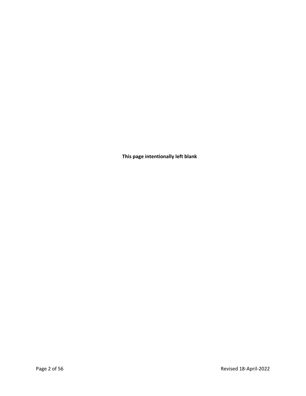**This page intentionally left blank**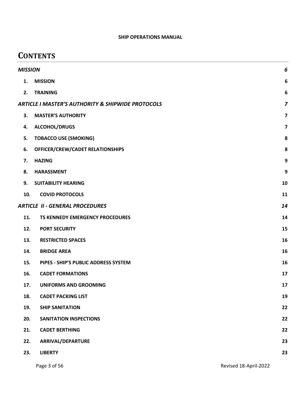#### **SHIP OPERATIONS MANUAL**

### **CONTENTS**

| <b>MISSION</b> |                                                   | 6                     |
|----------------|---------------------------------------------------|-----------------------|
| 1.             | <b>MISSION</b>                                    | 6                     |
| 2.             | <b>TRAINING</b>                                   | 6                     |
|                | ARTICLE I MASTER'S AUTHORITY & SHIPWIDE PROTOCOLS | 7                     |
| 3.             | <b>MASTER'S AUTHORITY</b>                         | 7                     |
| 4.             | <b>ALCOHOL/DRUGS</b>                              | 7                     |
| 5.             | <b>TOBACCO USE (SMOKING)</b>                      | 8                     |
| 6.             | OFFICER/CREW/CADET RELATIONSHIPS                  | 8                     |
| 7.             | <b>HAZING</b>                                     | 9                     |
| 8.             | <b>HARASSMENT</b>                                 | 9                     |
| 9.             | <b>SUITABILITY HEARING</b>                        | 10                    |
| 10.            | <b>COVID PROTOCOLS</b>                            | 11                    |
|                | <b>ARTICLE II - GENERAL PROCEDURES</b>            | 14                    |
| 11.            | <b>TS KENNEDY EMERGENCY PROCEDURES</b>            | 14                    |
| 12.            | <b>PORT SECURITY</b>                              | 15                    |
| 13.            | <b>RESTRICTED SPACES</b>                          | 16                    |
| 14.            | <b>BRIDGE AREA</b>                                | 16                    |
| 15.            | PIPES - SHIP'S PUBLIC ADDRESS SYSTEM              | 16                    |
| 16.            | <b>CADET FORMATIONS</b>                           | 17                    |
| 17.            | <b>UNIFORMS AND GROOMING</b>                      | 17                    |
| 18.            | <b>CADET PACKING LIST</b>                         | 19                    |
| 19.            | <b>SHIP SANITATION</b>                            | 22                    |
| 20.            | <b>SANITATION INSPECTIONS</b>                     | 22                    |
| 21.            | <b>CADET BERTHING</b>                             | 22                    |
| 22.            | <b>ARRIVAL/DEPARTURE</b>                          | 23                    |
| 23.            | <b>LIBERTY</b>                                    | 23                    |
|                | Page 3 of 56                                      | Revised 18-April-2022 |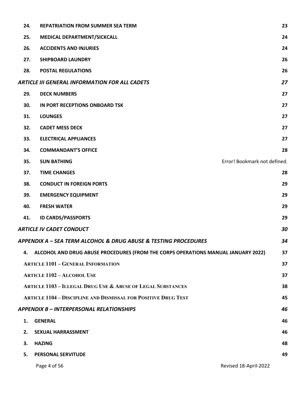| 24. | <b>REPATRIATION FROM SUMMER SEA TERM</b>                                          | 23 |
|-----|-----------------------------------------------------------------------------------|----|
| 25. | MEDICAL DEPARTMENT/SICKCALL                                                       | 24 |
| 26. | <b>ACCIDENTS AND INJURIES</b>                                                     | 24 |
| 27. | <b>SHIPBOARD LAUNDRY</b>                                                          | 26 |
| 28. | <b>POSTAL REGULATIONS</b>                                                         | 26 |
|     | ARTICLE III GENERAL INFORMATION FOR ALL CADETS                                    | 27 |
| 29. | <b>DECK NUMBERS</b>                                                               | 27 |
| 30. | IN PORT RECEPTIONS ONBOARD TSK                                                    | 27 |
| 31. | <b>LOUNGES</b>                                                                    | 27 |
| 32. | <b>CADET MESS DECK</b>                                                            | 27 |
| 33. | <b>ELECTRICAL APPLIANCES</b>                                                      | 27 |
| 34. | <b>COMMANDANT'S OFFICE</b>                                                        | 28 |
| 35. | Error! Bookmark not defined.<br><b>SUN BATHING</b>                                |    |
| 37. | <b>TIME CHANGES</b>                                                               | 28 |
| 38. | <b>CONDUCT IN FOREIGN PORTS</b>                                                   | 29 |
| 39. | <b>EMERGENCY EQUIPMENT</b>                                                        | 29 |
| 40. | <b>FRESH WATER</b>                                                                | 29 |
| 41. | <b>ID CARDS/PASSPORTS</b>                                                         | 29 |
|     | <b>ARTICLE IV CADET CONDUCT</b>                                                   | 30 |
|     | APPENDIX A – SEA TERM ALCOHOL & DRUG ABUSE & TESTING PROCEDURES                   | 34 |
| 4.  | ALCOHOL AND DRUG ABUSE PROCEDURES (FROM THE CORPS OPERATIONS MANUAL JANUARY 2022) | 37 |
|     | <b>ARTICLE 1101 - GENERAL INFORMATION</b>                                         | 37 |
|     | <b>ARTICLE 1102 - ALCOHOL USE</b>                                                 | 37 |
|     | <b>ARTICLE 1103 - ILLEGAL DRUG USE &amp; ABUSE OF LEGAL SUBSTANCES</b>            | 38 |
|     | <b>ARTICLE 1104 - DISCIPLINE AND DISMISSAL FOR POSITIVE DRUG TEST</b>             | 45 |
|     | APPENDIX B – INTERPERSONAL RELATIONSHIPS                                          | 46 |
| 1.  | <b>GENERAL</b>                                                                    | 46 |
| 2.  | <b>SEXUAL HARRASSMENT</b>                                                         | 46 |
| 3.  | <b>HAZING</b>                                                                     | 48 |
| 5.  | PERSONAL SERVITUDE                                                                | 49 |
|     | Page 4 of 56<br>Revised 18-April-2022                                             |    |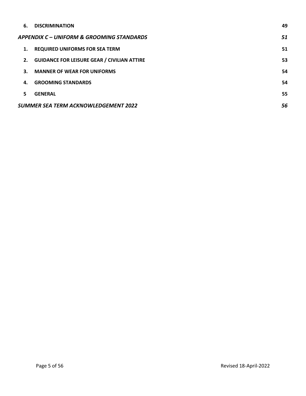| 6. | <b>DISCRIMINATION</b>                              | 49 |
|----|----------------------------------------------------|----|
|    | APPENDIX C – UNIFORM & GROOMING STANDARDS          | 51 |
| 1. | <b>REQUIRED UNIFORMS FOR SEA TERM</b>              | 51 |
| 2. | <b>GUIDANCE FOR LEISURE GEAR / CIVILIAN ATTIRE</b> | 53 |
| 3. | <b>MANNER OF WEAR FOR UNIFORMS</b>                 | 54 |
| 4. | <b>GROOMING STANDARDS</b>                          | 54 |
| 5. | <b>GENERAL</b>                                     | 55 |
|    | SUMMER SEA TERM ACKNOWLEDGEMENT 2022               | 56 |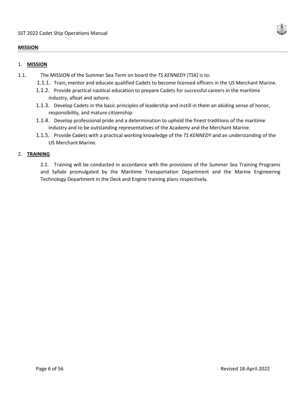

#### <span id="page-5-0"></span>**MISSION**

#### <span id="page-5-1"></span>1. **MISSION**

- 1.1. The MISSION of the Summer Sea Term on board the *TS KENNEDY (TSK)* is to:
	- 1.1.1. Train, mentor and educate qualified Cadets to become licensed officers in the US Merchant Marine.
	- 1.1.2. Provide practical nautical education to prepare Cadets for successful careers in the maritime industry, afloat and ashore.
	- 1.1.3. Develop Cadets in the basic principles of leadership and instill in them an abiding sense of honor, responsibility, and mature citizenship.
	- 1.1.4. Develop professional pride and a determination to uphold the finest traditions of the maritime industry and to be outstanding representatives of the Academy and the Merchant Marine.
	- 1.1.5. Provide Cadets with a practical working knowledge of the *TS KENNEDY* and an understanding of the US Merchant Marine.

#### <span id="page-5-2"></span>2. **TRAINING**

2.1. Training will be conducted in accordance with the provisions of the Summer Sea Training Programs and Syllabi promulgated by the Maritime Transportation Department and the Marine Engineering Technology Department in the Deck and Engine training plans respectively.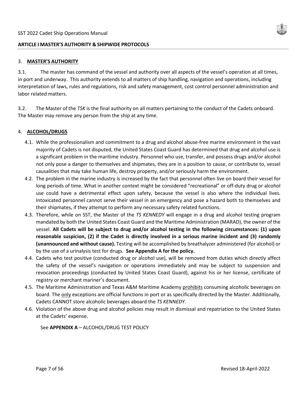#### <span id="page-6-0"></span>**ARTICLE I MASTER'S AUTHORITY & SHIPWIDE PROTOCOLS**

#### <span id="page-6-1"></span>3. **MASTER'S AUTHORITY**

3.1. The master has command of the vessel and authority over all aspects of the vessel's operation at all times, in port and underway. This authority extends to all matters of ship handling, navigation and operations, including interpretation of laws, rules and regulations, risk and safety management, cost control personnel administration and labor related matters.

3.2. The Master of the *TSK* is the final authority on all matters pertaining to the conduct of the Cadets onboard. The Master may remove any person from the ship at any time.

#### <span id="page-6-2"></span>4. **ALCOHOL/DRUGS**

- 4.1. While the professionalism and commitment to a drug and alcohol abuse-free marine environment in the vast majority of Cadets is not disputed, the United States Coast Guard has determined that drug and alcohol use is a significant problem in the maritime industry. Personnel who use, transfer, and possess drugs and/or alcohol not only pose a danger to themselves and shipmates, they are in a position to cause, or contribute to, vessel causalities that may take human life, destroy property, and/or seriously harm the environment.
- 4.2. The problem in the marine industry is increased by the fact that personnel often live on board their vessel for long periods of time. What in another context might be considered "recreational" or off-duty drug or alcohol use could have a detrimental effect upon safety, because the vessel is also where the individual lives. Intoxicated personnel cannot serve their vessel in an emergency and pose a hazard both to themselves and their shipmates**,** if they attempt to perform any necessary safety related functions.
- 4.3. Therefore, while on SST, the Master of the *TS KENNEDY* will engage in a drug and alcohol testing program mandated by both the United States Coast Guard and the Maritime Administration (MARAD), the owner of the vessel. **All Cadets will be subject to drug and/or alcohol testing in the following circumstances: (1) upon reasonable suspicion, (2) if the Cadet is directly involved in a serious marine incident and (3) randomly (unannounced and without cause).** Testing will be accomplished by breathalyzer administered (for alcohol) or by the use of a urinalysis test for drugs. **See Appendix A for the policy.**
- 4.4. Cadets who test positive (conducted drug or alcohol use), will be removed from duties which directly affect the safety of the vessel's navigation or operations immediately and may be subject to suspension and revocation proceedings (conducted by United States Coast Guard), against his or her license, certificate of registry or merchant mariner's document.
- 4.5. The Maritime Administration and Texas A&M Maritime Academy prohibits consuming alcoholic beverages on board. The only exceptions are official functions in port or as specifically directed by the Master. Additionally, Cadets CANNOT store alcoholic beverages aboard the *TS KENNEDY*.
- 4.6. Violation of the above drug and alcohol policies may result in dismissal and repatriation to the United States at the Cadets' expense.

See **APPENDIX A** – ALCOHOL/DRUG TEST POLICY

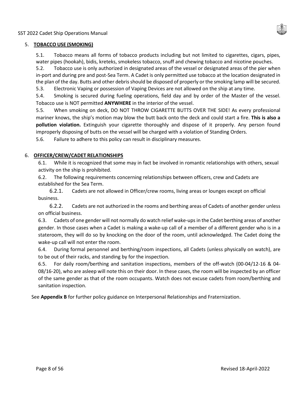

#### <span id="page-7-0"></span>5. **TOBACCO USE (SMOKING)**

5.1. Tobacco means all forms of tobacco products including but not limited to cigarettes, cigars, pipes, water pipes (hookah), bidis, kreteks, smokeless tobacco, snuff and chewing tobacco and nicotine pouches.

5.2. Tobacco use is only authorized in designated areas of the vessel or designated areas of the pier when in-port and during pre and post-Sea Term. A Cadet is only permitted use tobacco at the location designated in the plan of the day. Butts and other debris should be disposed of properly or the smoking lamp will be secured. 5.3. Electronic Vaping or possession of Vaping Devices are not allowed on the ship at any time.

5.4. Smoking is secured during fueling operations, field day and by order of the Master of the vessel. Tobacco use is NOT permitted **ANYWHERE** in the interior of the vessel.

5.5. When smoking on deck, DO NOT THROW CIGARETTE BUTTS OVER THE SIDE! As every professional mariner knows, the ship's motion may blow the butt back onto the deck and could start a fire. **This is also a pollution violation.** Extinguish your cigarette thoroughly and dispose of it properly. Any person found improperly disposing of butts on the vessel will be charged with a violation of Standing Orders.

5.6. Failure to adhere to this policy can result in disciplinary measures.

#### <span id="page-7-1"></span>6. **OFFICER/CREW/CADET RELATIONSHIPS**

6.1. While it is recognized that some may in fact be involved in romantic relationships with others, sexual activity on the ship is prohibited.

6.2. The following requirements concerning relationships between officers, crew and Cadets are established for the Sea Term.

6.2.1. Cadets are not allowed in Officer/crew rooms, living areas or lounges except on official business.

6.2.2. Cadets are not authorized in the rooms and berthing areas of Cadets of another gender unless on official business.

6.3. Cadets of one gender will not normally do watch relief wake-ups in the Cadet berthing areas of another gender. In those cases when a Cadet is making a wake-up call of a member of a different gender who is in a stateroom, they will do so by knocking on the door of the room, until acknowledged. The Cadet doing the wake-up call will not enter the room.

6.4. During formal personnel and berthing/room inspections, all Cadets (unless physically on watch), are to be out of their racks, and standing by for the inspection.

6.5. For daily room/berthing and sanitation inspections, members of the off-watch (00-04/12-16 & 04- 08/16-20), who are asleep will note this on their door. In these cases, the room will be inspected by an officer of the same gender as that of the room occupants. Watch does not excuse cadets from room/berthing and sanitation inspection.

See **Appendix B** for further policy guidance on Interpersonal Relationships and Fraternization.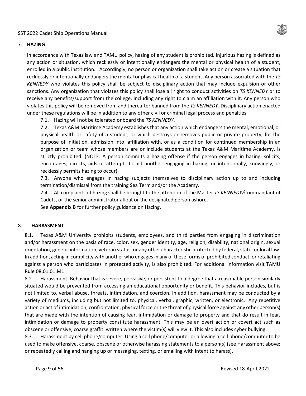

#### <span id="page-8-0"></span>7. **HAZING**

In accordance with Texas law and TAMU policy, hazing of any student is prohibited. Injurious hazing is defined as any action or situation, which recklessly or intentionally endangers the mental or physical health of a student, enrolled in a public institution. Accordingly, no person or organization shall take action or create a situation that recklessly or intentionally endangers the mental or physical health of a student. Any person associated with the *TS KENNEDY* who violates this policy shall be subject to disciplinary action that may include expulsion or other sanctions. Any organization that violates this policy shall lose all right to conduct activities on *TS KENNEDY* or to receive any benefits/support from the college, including any right to claim an affiliation with it. Any person who violates this policy will be removed from and thereafter banned from the *TS KENNEDY*. Disciplinary action enacted under these regulations will be in addition to any other civil or criminal legal process and penalties.

7.1. Hazing will not be tolerated onboard the *TS KENNEDY*.

7.2. Texas A&M Maritime Academy establishes that any action which endangers the mental, emotional, or physical health or safety of a student, or which destroys or removes public or private property, for the purpose of initiation, admission into, affiliation with, or as a condition for continued membership in an organization or team whose members are or include students at the Texas A&M Maritime Academy, is strictly prohibited. (NOTE: A person commits a hazing offense if the person engages in hazing; solicits, encourages, directs, aids or attempts to aid another engaging in hazing; or intentionally, knowingly, or recklessly permits hazing to occur).

7.3. Anyone who engages in hazing subjects themselves to disciplinary action up to and including termination/dismissal from the training Sea Term and/or the Academy.

7.4. All complaints of hazing shall be brought to the attention of the Master *TS KENNEDY/*Commandant of Cadets, or the senior administrator afloat or the designated person ashore.

See **Appendix B** for further policy guidance on Hazing.

#### <span id="page-8-1"></span>8. **HARASSMENT**

8.1. Texas A&M University prohibits students, employees, and third parties from engaging in discrimination and/or harassment on the basis of race, color, sex, gender identity, age, religion, disability, national origin, sexual orientation, genetic information, veteran status, or any other characteristic protected by federal, state, or local law. In addition, acting in complicity with another who engages in any of these forms of prohibited conduct, or retaliating against a person who participates in protected activity, is also prohibited. For additional information visit TAMU Rule 08.01.01.M1.

8.2. Harassment. Behavior that is severe, pervasive, or persistent to a degree that a reasonable person similarly situated would be prevented from accessing an educational opportunity or benefit. This behavior includes, but is not limited to, verbal abuse, threats, intimidation, and coercion. In addition, harassment may be conducted by a variety of mediums, including but not limited to, physical, verbal, graphic, written, or electronic. Any repetitive action or act of intimidation, confrontation, physical force or the threat of physical force against any other person(s) that are made with the intention of causing fear, intimidation or damage to property and that do result in fear, intimidation or damage to property constitute harassment. This may be an overt action or covert act such as obscene or offensive, coarse graffiti written where the victim(s) will view it. This also includes cyber bullying.

8.3. Harassment by cell phone/computer: Using a cell phone/computer or allowing a cell phone/computer to be used to make offensive, coarse, obscene or otherwise harassing statements to a person(s) (see Harassment above; or repeatedly calling and hanging up or messaging, texting, or emailing with intent to harass).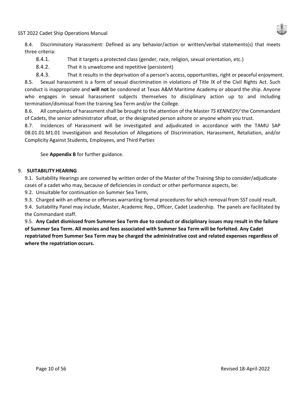

8.4. Discriminatory Harassment: Defined as any behavior/action or written/verbal statements(s) that meets three criteria:

- 8.4.1. That it targets a protected class (gender, race, religion, sexual orientation, etc.)
- 8.4.2. That it is unwelcome and repetitive (persistent)

8.4.3. That it results in the deprivation of a person's access, opportunities, right or peaceful enjoyment. 8.5. Sexual harassment is a form of sexual discrimination in violations of Title IX of the Civil Rights Act. Such conduct is inappropriate and **will not** be condoned at Texas A&M Maritime Academy or aboard the ship. Anyone who engages in sexual harassment subjects themselves to disciplinary action up to and including termination/dismissal from the training Sea Term and/or the College.

8.6. All complaints of harassment shall be brought to the attention of the Master *TS KENNEDY/* the Commandant of Cadets, the senior administrator afloat, or the designated person ashore or anyone whom you trust.

8.7. Incidences of Harassment will be investigated and adjudicated in accordance with the TAMU SAP 08.01.01.M1.01 Investigation and Resolution of Allegations of Discrimination, Harassment, Retaliation, and/or Complicity Against Students, Employees, and Third Parties

See **Appendix B** for further guidance.

#### <span id="page-9-0"></span>9. **SUITABILITY HEARING**

9.1. Suitability Hearings are convened by written order of the Master of the Training Ship to consider/adjudicate cases of a cadet who may, because of deficiencies in conduct or other performance aspects, be:

9.2. Unsuitable for continuation on Summer Sea Term,

9.3. Charged with an offense or offenses warranting formal procedures for which removal from SST could result.

9.4. Suitability Panel may include, Master, Academic Rep., Officer, Cadet Leadership. The panels are facilitated by the Commandant staff.

9.5. **Any Cadet dismissed from Summer Sea Term due to conduct or disciplinary issues may result in the failure of Summer Sea Term. All monies and fees associated with Summer Sea Term will be forfeited. Any Cadet repatriated from Summer Sea Term may be charged the administrative cost and related expenses regardless of where the repatriation occurs.**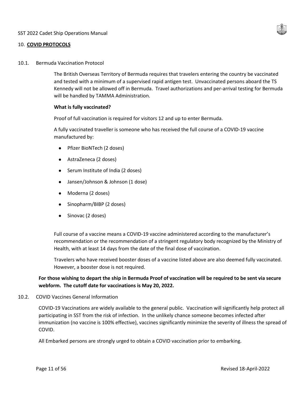

#### <span id="page-10-0"></span>10. **COVID PROTOCOLS**

#### 10.1. Bermuda Vaccination Protocol

The British Overseas Territory of Bermuda requires that travelers entering the country be vaccinated and tested with a minimum of a supervised rapid antigen test. Unvaccinated persons aboard the TS Kennedy will not be allowed off in Bermuda. Travel authorizations and per-arrival testing for Bermuda will be handled by TAMMA Administration.

#### **What is fully vaccinated?**

Proof of full vaccination is required for visitors 12 and up to enter Bermuda.

A fully vaccinated traveller is someone who has received the full course of a COVID-19 vaccine manufactured by:

- Pfizer BioNTech (2 doses)
- AstraZeneca (2 doses)
- Serum Institute of India (2 doses)
- Jansen/Johnson & Johnson (1 dose)
- Moderna (2 doses)
- Sinopharm/BIBP (2 doses)
- Sinovac (2 doses)

Full course of a vaccine means a COVID-19 vaccine administered according to the manufacturer's recommendation or the recommendation of a stringent regulatory body recognized by the Ministry of Health, with at least 14 days from the date of the final dose of vaccination.

Travelers who have received booster doses of a vaccine listed above are also deemed fully vaccinated. However, a booster dose is not required.

#### **For those wishing to depart the ship in Bermuda Proof of vaccination will be required to be sent via secure webform. The cutoff date for vaccinations is May 20, 2022.**

10.2. COVID Vaccines General Information

COVID-19 Vaccinations are widely available to the general public. Vaccination will significantly help protect all participating in SST from the risk of infection. In the unlikely chance someone becomes infected after immunization (no vaccine is 100% effective), vaccines significantly minimize the severity of illness the spread of COVID.

All Embarked persons are strongly urged to obtain a COVID vaccination prior to embarking.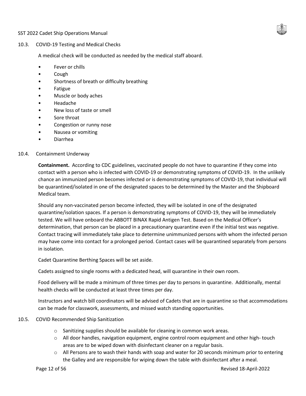

#### 10.3. COVID-19 Testing and Medical Checks

A medical check will be conducted as needed by the medical staff aboard.

- Fever or chills
- Cough
- Shortness of breath or difficulty breathing
- **Fatigue**
- Muscle or body aches
- Headache
- New loss of taste or smell
- Sore throat
- Congestion or runny nose
- Nausea or vomiting
- Diarrhea

#### 10.4. Containment Underway

**Containment.** According to CDC guidelines, vaccinated people do not have to quarantine if they come into contact with a person who is infected with COVID-19 or demonstrating symptoms of COVID-19. In the unlikely chance an immunized person becomes infected or is demonstrating symptoms of COVID-19, that individual will be quarantined/isolated in one of the designated spaces to be determined by the Master and the Shipboard Medical team.

Should any non-vaccinated person become infected, they will be isolated in one of the designated quarantine/isolation spaces. If a person is demonstrating symptoms of COVID-19, they will be immediately tested. We will have onboard the ABBOTT BINAX Rapid Antigen Test. Based on the Medical Officer's determination, that person can be placed in a precautionary quarantine even if the initial test was negative. Contact tracing will immediately take place to determine unimmunized persons with whom the infected person may have come into contact for a prolonged period. Contact cases will be quarantined separately from persons in isolation.

Cadet Quarantine Berthing Spaces will be set aside.

Cadets assigned to single rooms with a dedicated head, will quarantine in their own room.

Food delivery will be made a minimum of three times per day to persons in quarantine. Additionally, mental health checks will be conducted at least three times per day.

Instructors and watch bill coordinators will be advised of Cadets that are in quarantine so that accommodations can be made for classwork, assessments, and missed watch standing opportunities.

#### 10.5. COVID Recommended Ship Sanitization

- o Sanitizing supplies should be available for cleaning in common work areas.
- $\circ$  All door handles, navigation equipment, engine control room equipment and other high- touch areas are to be wiped down with disinfectant cleaner on a regular basis.
- $\circ$  All Persons are to wash their hands with soap and water for 20 seconds minimum prior to entering the Galley and are responsible for wiping down the table with disinfectant after a meal.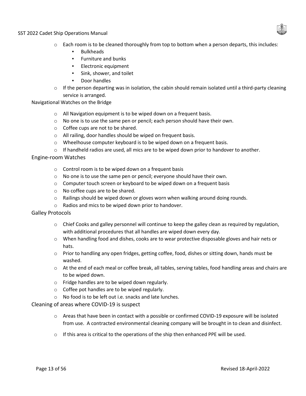

- $\circ$  Each room is to be cleaned thoroughly from top to bottom when a person departs, this includes:
	- **Bulkheads**
	- Furniture and bunks
	- Electronic equipment
	- **·** Sink, shower, and toilet
	- Door handles
- $\circ$  If the person departing was in isolation, the cabin should remain isolated until a third-party cleaning service is arranged.

#### Navigational Watches on the Bridge

- o All Navigation equipment is to be wiped down on a frequent basis.
- o No one is to use the same pen or pencil; each person should have their own.
- o Coffee cups are not to be shared.
- o All railing, door handles should be wiped on frequent basis.
- o Wheelhouse computer keyboard is to be wiped down on a frequent basis.
- $\circ$  If handheld radios are used, all mics are to be wiped down prior to handover to another.

#### Engine-room Watches

- o Control room is to be wiped down on a frequent basis
- o No one is to use the same pen or pencil; everyone should have their own.
- $\circ$  Computer touch screen or keyboard to be wiped down on a frequent basis
- o No coffee cups are to be shared.
- $\circ$  Railings should be wiped down or gloves worn when walking around doing rounds.
- o Radios and mics to be wiped down prior to handover.

#### Galley Protocols

- $\circ$  Chief Cooks and galley personnel will continue to keep the galley clean as required by regulation, with additional procedures that all handles are wiped down every day.
- o When handling food and dishes, cooks are to wear protective disposable gloves and hair nets or hats.
- $\circ$  Prior to handling any open fridges, getting coffee, food, dishes or sitting down, hands must be washed.
- $\circ$  At the end of each meal or coffee break, all tables, serving tables, food handling areas and chairs are to be wiped down.
- o Fridge handles are to be wiped down regularly.
- o Coffee pot handles are to be wiped regularly.
- o No food is to be left out i.e. snacks and late lunches.

#### Cleaning of areas where COVID-19 is suspect

- $\circ$  Areas that have been in contact with a possible or confirmed COVID-19 exposure will be isolated from use. A contracted environmental cleaning company will be brought in to clean and disinfect.
- $\circ$  If this area is critical to the operations of the ship then enhanced PPE will be used.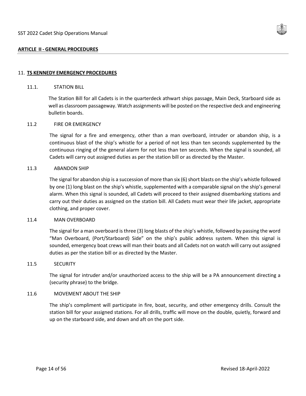

#### <span id="page-13-0"></span>**ARTICLE II - GENERAL PROCEDURES**

#### <span id="page-13-1"></span>11. **TS KENNEDY EMERGENCY PROCEDURES**

#### 11.1. STATION BILL

The Station Bill for all Cadets is in the quarterdeck athwart ships passage, Main Deck, Starboard side as well as classroom passageway. Watch assignments will be posted on the respective deck and engineering bulletin boards.

#### 11.2 FIRE OR EMERGENCY

The signal for a fire and emergency, other than a man overboard, intruder or abandon ship, is a continuous blast of the ship's whistle for a period of not less than ten seconds supplemented by the continuous ringing of the general alarm for not less than ten seconds. When the signal is sounded, all Cadets will carry out assigned duties as per the station bill or as directed by the Master.

#### 11.3 ABANDON SHIP

The signal for abandon ship is a succession of more than six (6) short blasts on the ship's whistle followed by one (1) long blast on the ship's whistle, supplemented with a comparable signal on the ship's general alarm. When this signal is sounded, all Cadets will proceed to their assigned disembarking stations and carry out their duties as assigned on the station bill. All Cadets must wear their life jacket, appropriate clothing, and proper cover.

#### 11.4 MAN OVERBOARD

The signal for a man overboard is three (3) long blasts of the ship's whistle, followed by passing the word "Man Overboard, (Port/Starboard) Side" on the ship's public address system. When this signal is sounded, emergency boat crews will man their boats and all Cadets not on watch will carry out assigned duties as per the station bill or as directed by the Master.

#### 11.5 SECURITY

The signal for intruder and/or unauthorized access to the ship will be a PA announcement directing a (security phrase) to the bridge.

#### 11.6 MOVEMENT ABOUT THE SHIP

The ship's compliment will participate in fire, boat, security, and other emergency drills. Consult the station bill for your assigned stations. For all drills, traffic will move on the double, quietly, forward and up on the starboard side, and down and aft on the port side.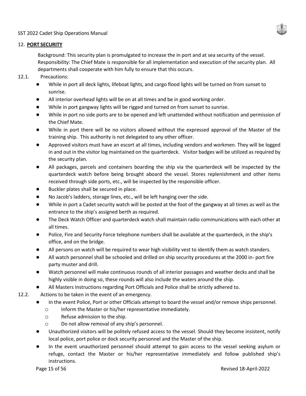

#### <span id="page-14-0"></span>12. **PORT SECURITY**

Background: This security plan is promulgated to increase the in port and at sea security of the vessel. Responsibility: The Chief Mate is responsible for all implementation and execution of the security plan. All departments shall cooperate with him fully to ensure that this occurs.

- 12.1. Precautions:
	- While in port all deck lights, lifeboat lights, and cargo flood lights will be turned on from sunset to sunrise.
	- All interior overhead lights will be on at all times and be in good working order.
	- While in port gangway lights will be rigged and turned on from sunset to sunrise.
	- While in port no side ports are to be opened and left unattended without notification and permission of the Chief Mate.
	- While in port there will be no visitors allowed without the expressed approval of the Master of the training ship. This authority is not delegated to any other officer.
	- Approved visitors must have an escort at all times, including vendors and workmen. They will be logged in and out in the visitor log maintained on the quarterdeck. Visitor badges will be utilized as required by the security plan.
	- All packages, parcels and containers boarding the ship via the quarterdeck will be inspected by the quarterdeck watch before being brought aboard the vessel. Stores replenishment and other items received through side ports, etc., will be inspected by the responsible officer.
	- Buckler plates shall be secured in place.
	- No Jacob's ladders, storage lines, etc., will be left hanging over the side.
	- While in port a Cadet security watch will be posted at the foot of the gangway at all times as well as the entrance to the ship's assigned berth as required.
	- The Deck Watch Officer and quarterdeck watch shall maintain radio communications with each other at all times.
	- Police, Fire and Security Force telephone numbers shall be available at the quarterdeck, in the ship's office, and on the bridge.
	- All persons on watch will be required to wear high visibility vest to identify them as watch standers.
	- All watch personnel shall be schooled and drilled on ship security procedures at the 2000 in- port fire party muster and drill.
	- Watch personnel will make continuous rounds of all interior passages and weather decks and shall be highly visible in doing so, these rounds will also include the waters around the ship.
		- All Masters Instructions regarding Port Officials and Police shall be strictly adhered to.
- 12.2. Actions to be taken in the event of an emergency.
	- In the event Police, Port or other Officials attempt to board the vessel and/or remove ships personnel.
		- o Inform the Master or his/her representative immediately.
		- o Refuse admission to the ship.
		- o Do not allow removal of any ship's personnel.
	- Unauthorized visitors will be politely refused access to the vessel. Should they become insistent, notify local police, port police or dock security personnel and the Master of the ship.
	- In the event unauthorized personnel should attempt to gain access to the vessel seeking asylum or refuge, contact the Master or his/her representative immediately and follow published ship's instructions.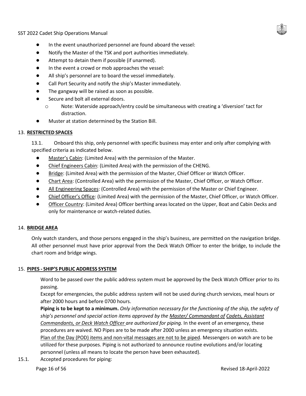- In the event unauthorized personnel are found aboard the vessel:
- Notify the Master of the TSK and port authorities immediately.
- Attempt to detain them if possible (if unarmed).
- In the event a crowd or mob approaches the vessel:
- All ship's personnel are to board the vessel immediately.
- Call Port Security and notify the ship's Master immediately.
- The gangway will be raised as soon as possible.
- Secure and bolt all external doors.
	- o Note: Waterside approach/entry could be simultaneous with creating a 'diversion' tact for distraction.
- Muster at station determined by the Station Bill.

#### <span id="page-15-0"></span>13. **RESTRICTED SPACES**

13.1. Onboard this ship, only personnel with specific business may enter and only after complying with specified criteria as indicated below.

- Master's Cabin: (Limited Area) with the permission of the Master.
- Chief Engineers Cabin: (Limited Area) with the permission of the CHENG.
- **Bridge: (Limited Area) with the permission of the Master, Chief Officer or Watch Officer.**
- Chart Area: (Controlled Area) with the permission of the Master, Chief Officer, or Watch Officer.
- All Engineering Spaces: (Controlled Area) with the permission of the Master or Chief Engineer.
- Chief Officer's Office: (Limited Area) with the permission of the Master, Chief Officer, or Watch Officer.
- Officer Country: (Limited Area) Officer berthing areas located on the Upper, Boat and Cabin Decks and only for maintenance or watch-related duties.

#### <span id="page-15-1"></span>14. **BRIDGE AREA**

Only watch standers, and those persons engaged in the ship's business, are permitted on the navigation bridge. All other personnel must have prior approval from the Deck Watch Officer to enter the bridge, to include the chart room and bridge wings.

#### <span id="page-15-2"></span>15. **PIPES - SHIP'S PUBLIC ADDRESS SYSTEM**

Word to be passed over the public address system must be approved by the Deck Watch Officer prior to its passing.

Except for emergencies, the public address system will not be used during church services, meal hours or after 2000 hours and before 0700 hours.

**Piping is to be kept to a minimum.** *Only information necessary for the functioning of the ship, the safety of ship's personnel and special action items approved by the Master/ Commandant of Cadets, Assistant Commandants, or Deck Watch Officer are authorized for piping.* In the event of an emergency, these procedures are waived. NO Pipes are to be made after 2000 unless an emergency situation exists. Plan of the Day (POD) items and non-vital messages are not to be piped. Messengers on watch are to be utilized for these purposes. Piping is not authorized to announce routine evolutions and/or locating personnel (unless all means to locate the person have been exhausted).

15.1. Accepted procedures for piping:

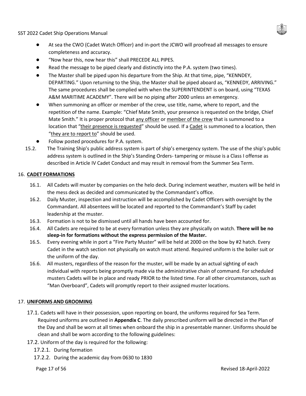

- At sea the CWO (Cadet Watch Officer) and in-port the JCWO will proofread all messages to ensure completeness and accuracy.
- "Now hear this, now hear this" shall PRECEDE ALL PIPES.
- Read the message to be piped clearly and distinctly into the P.A. system (two times).
- The Master shall be piped upon his departure from the Ship. At that time, pipe, "KENNDEY, DEPARTING." Upon returning to the Ship, the Master shall be piped aboard as, "KENNEDY, ARRIVING." The same procedures shall be complied with when the SUPERINTENDENT is on board, using "TEXAS A&M MARITIME ACADEMY". There will be no piping after 2000 unless an emergency.
- When summoning an officer or member of the crew, use title, name, where to report, and the repetition of the name. Example: "Chief Mate Smith, your presence is requested on the bridge, Chief Mate Smith." It is proper protocol that any officer or member of the crew that is summoned to a location that "their presence is requested" should be used. If a Cadet is summoned to a location, then "they are to report to" should be used.
- Follow posted procedures for P.A. system.
- 15.2. The Training Ship's public address system is part of ship's emergency system. The use of the ship's public address system is outlined in the Ship's Standing Orders- tampering or misuse is a Class I offense as described in Article IV Cadet Conduct and may result in removal from the Summer Sea Term.

#### <span id="page-16-0"></span>16. **CADET FORMATIONS**

- 16.1. All Cadets will muster by companies on the helo deck. During inclement weather, musters will be held in the mess deck as decided and communicated by the Commandant's office.
- 16.2. Daily Muster, inspection and instruction will be accomplished by Cadet Officers with oversight by the Commandant. All absentees will be located and reported to the Commandant's Staff by cadet leadership at the muster.
- 16.3. Formation is not to be dismissed until all hands have been accounted for.
- 16.4. All Cadets are required to be at every formation unless they are physically on watch. **There will be no sleep-in for formations without the express permission of the Master.**
- 16.5. Every evening while in port a "Fire Party Muster" will be held at 2000 on the bow by #2 hatch. Every Cadet in the watch section not physically on watch must attend. Required uniform is the boiler suit or the uniform of the day.
- 16.6. All musters, regardless of the reason for the muster, will be made by an actual sighting of each individual with reports being promptly made via the administrative chain of command. For scheduled musters Cadets will be in place and ready PRIOR to the listed time. For all other circumstances, such as "Man Overboard", Cadets will promptly report to their assigned muster locations.

#### <span id="page-16-1"></span>17. **UNIFORMS AND GROOMING**

- 17.1. Cadets will have in their possession, upon reporting on board, the uniforms required for Sea Term. Required uniforms are outlined in **Appendix C**. The daily prescribed uniform will be directed in the Plan of the Day and shall be worn at all times when onboard the ship in a presentable manner. Uniforms should be clean and shall be worn according to the following guidelines:
- 17.2. Uniform of the day is required for the following:
	- 17.2.1. During formation
	- 17.2.2. During the academic day from 0630 to 1830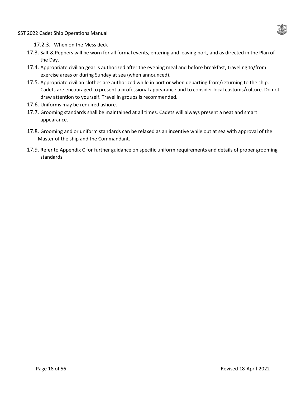

#### 17.2.3. When on the Mess deck

- 17.3. Salt & Peppers will be worn for all formal events, entering and leaving port, and as directed in the Plan of the Day.
- 17.4. Appropriate civilian gear is authorized after the evening meal and before breakfast, traveling to/from exercise areas or during Sunday at sea (when announced).
- 17.5. Appropriate civilian clothes are authorized while in port or when departing from/returning to the ship. Cadets are encouraged to present a professional appearance and to consider local customs/culture. Do not draw attention to yourself. Travel in groups is recommended.
- 17.6. Uniforms may be required ashore.
- 17.7. Grooming standards shall be maintained at all times. Cadets will always present a neat and smart appearance.
- 17.8. Grooming and or uniform standards can be relaxed as an incentive while out at sea with approval of the Master of the ship and the Commandant.
- 17.9. Refer to Appendix C for further guidance on specific uniform requirements and details of proper grooming standards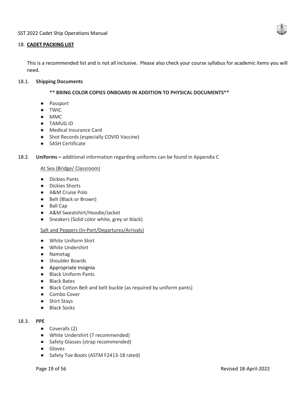

#### <span id="page-18-0"></span>18. **CADET PACKING LIST**

This is a recommended list and is not all inclusive. Please also check your course syllabus for academic items you will need.

#### 18.1. **Shipping Documents**

#### **\*\* BRING COLOR COPIES ONBOARD IN ADDITION TO PHYSICAL DOCUMENTS\*\***

- Passport
- TWIC
- MMC
- TAMUG ID
- Medical Insurance Card
- Shot Records (especially COVID Vaccine)
- SASH Certificate

#### 18.2. **Uniforms –** additional information regarding uniforms can be found in Appendix C

#### At Sea (Bridge/ Classroom)

- Dickies Pants
- Dickies Shorts
- A&M Cruise Polo
- Belt (Black or Brown)
- Ball Cap
- A&M Sweatshirt/Hoodie/Jacket
- Sneakers (Solid color white, grey or black)

#### Salt and Peppers (In-Port/Departures/Arrivals)

- White Uniform Shirt
- White Undershirt
- Nametag
- Shoulder Boards
- Appropriate Insignia
- Black Uniform Pants
- Black Bates
- Black Cotton Belt and belt buckle (as required by uniform pants)
- Combo Cover
- Shirt Stays
- Black Socks

#### 18.3. **PPE**

- Coveralls (2)
- White Undershirt (7 recommended)
- Safety Glasses (strap recommended)
- Gloves
- Safety Toe Boots (ASTM F2413-18 rated)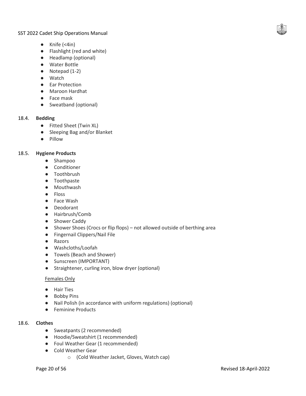- $\bullet$  Knife (<4in)
- Flashlight (red and white)
- Headlamp (optional)
- Water Bottle
- Notepad (1-2)
- Watch
- Ear Protection
- Maroon Hardhat
- Face mask
- Sweatband (optional)

#### 18.4. **Bedding**

- Fitted Sheet (Twin XL)
- Sleeping Bag and/or Blanket
- Pillow

#### 18.5. **Hygiene Products**

- Shampoo
- Conditioner
- Toothbrush
- Toothpaste
- Mouthwash
- Floss
- Face Wash
- Deodorant
- Hairbrush/Comb
- Shower Caddy
- Shower Shoes (Crocs or flip flops) not allowed outside of berthing area
- Fingernail Clippers/Nail File
- Razors
- Washcloths/Loofah
- Towels (Beach and Shower)
- Sunscreen (IMPORTANT)
- Straightener, curling iron, blow dryer (optional)

#### Females Only

- Hair Ties
- Bobby Pins
- Nail Polish (in accordance with uniform regulations) (optional)
- Feminine Products

#### 18.6. **Clothes**

- Sweatpants (2 recommended)
- Hoodie/Sweatshirt (1 recommended)
- Foul Weather Gear (1 recommended)
- Cold Weather Gear
	- o (Cold Weather Jacket, Gloves, Watch cap)

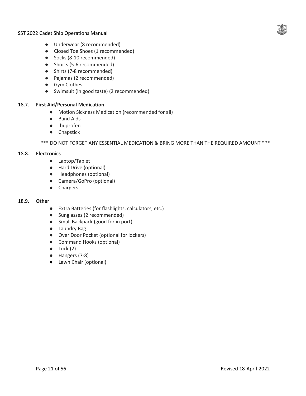

- Underwear (8 recommended)
- Closed Toe Shoes (1 recommended)
- Socks (8-10 recommended)
- Shorts (5-6 recommended)
- Shirts (7-8 recommended)
- Pajamas (2 recommended)
- Gym Clothes
- Swimsuit (in good taste) (2 recommended)

#### 18.7. **First Aid/Personal Medication**

- Motion Sickness Medication (recommended for all)
- Band Aids
- Ibuprofen
- Chapstick

\*\*\* DO NOT FORGET ANY ESSENTIAL MEDICATION & BRING MORE THAN THE REQUIRED AMOUNT \*\*\*

#### 18.8. **Electronics**

- Laptop/Tablet
- Hard Drive (optional)
- Headphones (optional)
- Camera/GoPro (optional)
- Chargers

#### 18.9. **Other**

- Extra Batteries (for flashlights, calculators, etc.)
- Sunglasses (2 recommended)
- Small Backpack (good for in port)
- Laundry Bag
- Over Door Pocket (optional for lockers)
- Command Hooks (optional)
- $\bullet$  Lock (2)
- Hangers (7-8)
- Lawn Chair (optional)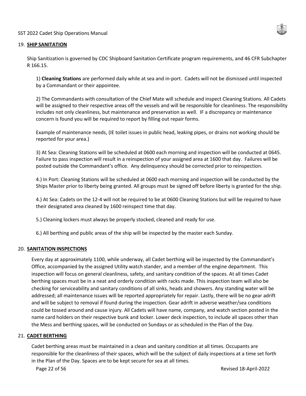

#### <span id="page-21-0"></span>19. **SHIP SANITATION**

Ship Sanitization is governed by CDC Shipboard Sanitation Certificate program requirements, and 46 CFR Subchapter R 166.15.

1) **Cleaning Stations** are performed daily while at sea and in-port. Cadets will not be dismissed until inspected by a Commandant or their appointee.

2) The Commandants with consultation of the Chief Mate will schedule and inspect Cleaning Stations. All Cadets will be assigned to their respective areas off the vessels and will be responsible for cleanliness. The responsibility includes not only cleanliness, but maintenance and preservation as well. IF a discrepancy or maintenance concern is found you will be required to report by filling out repair forms.

Example of maintenance needs, (IE toilet issues in public head, leaking pipes, or drains not working should be reported for your area.)

3) At Sea: Cleaning Stations will be scheduled at 0600 each morning and inspection will be conducted at 0645. Failure to pass inspection will result in a reinspection of your assigned area at 1600 that day. Failures will be posted outside the Commandant's office. Any delinquency should be corrected prior to reinspection.

4.) In Port: Cleaning Stations will be scheduled at 0600 each morning and inspection will be conducted by the Ships Master prior to liberty being granted. All groups must be signed off before liberty is granted for the ship.

4.) At Sea: Cadets on the 12-4 will not be required to be at 0600 Cleaning Stations but will be required to have their designated area cleaned by 1600 reinspect time that day.

5.) Cleaning lockers must always be properly stocked, cleaned and ready for use.

6.) All berthing and public areas of the ship will be inspected by the master each Sunday.

#### <span id="page-21-1"></span>20. **SANITATION INSPECTIONS**

Every day at approximately 1100, while underway, all Cadet berthing will be inspected by the Commandant's Office, accompanied by the assigned Utility watch stander, and a member of the engine department. This inspection will focus on general cleanliness, safety, and sanitary condition of the spaces. At all times Cadet berthing spaces must be in a neat and orderly condition with racks made. This inspection team will also be checking for serviceability and sanitary conditions of all sinks, heads and showers. Any standing water will be addressed; all maintenance issues will be reported appropriately for repair. Lastly, there will be no gear adrift and will be subject to removal if found during the inspection. Gear adrift in adverse weather/sea conditions could be tossed around and cause injury. All Cadets will have name, company, and watch section posted in the name card holders on their respective bunk and locker. Lower deck inspection, to include all spaces other than the Mess and berthing spaces, will be conducted on Sundays or as scheduled in the Plan of the Day.

#### <span id="page-21-2"></span>21. **CADET BERTHING**

Cadet berthing areas must be maintained in a clean and sanitary condition at all times. Occupants are responsible for the cleanliness of their spaces, which will be the subject of daily inspections at a time set forth in the Plan of the Day. Spaces are to be kept secure for sea at all times.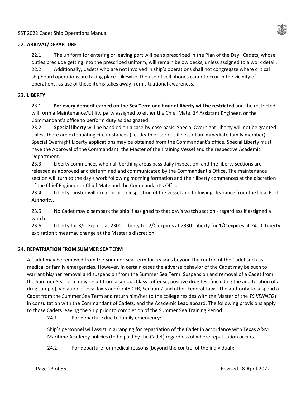<span id="page-22-0"></span>

22.1. The uniform for entering or leaving port will be as prescribed in the Plan of the Day. Cadets, whose duties preclude getting into the prescribed uniform, will remain below decks, unless assigned to a work detail. 22.2. Additionally, Cadets who are not involved in ship's operations shall not congregate where critical shipboard operations are taking place. Likewise, the use of cell phones cannot occur in the vicinity of operations, as use of these items takes away from situational awareness.

#### <span id="page-22-1"></span>23. **LIBERTY**

23.1. **For every demerit earned on the Sea Term one hour of liberty will be restricted** and the restricted will form a Maintenance/Utility party assigned to either the Chief Mate, 1<sup>st</sup> Assistant Engineer, or the Commandant's office to perform duty as designated.

23.2. **Special liberty** will be handled on a case-by-case basis. Special Overnight Liberty will not be granted unless there are extenuating circumstances (i.e. death or serious illness of an immediate family member). Special Overnight Liberty applications may be obtained from the Commandant's office. Special Liberty must have the Approval of the Commandant, the Master of the Training Vessel and the respective Academic Department.

23.3. Liberty commences when all berthing areas pass daily inspection, and the liberty sections are released as approved and determined and communicated by the Commandant's Office. The maintenance section will turn to the day's work following morning formation and their liberty commences at the discretion of the Chief Engineer or Chief Mate and the Commandant's Office.

23.4. Liberty muster will occur prior to inspection of the vessel and following clearance from the local Port Authority.

23.5. No Cadet may disembark the ship if assigned to that day's watch section - regardless if assigned a watch.

23.6. Liberty for 3/C expires at 2300. Liberty for 2/C expires at 2330. Liberty for 1/C expires at 2400. Liberty expiration times may change at the Master's discretion.

#### <span id="page-22-2"></span>24. **REPATRIATION FROM SUMMER SEA TERM**

A Cadet may be removed from the Summer Sea Term for reasons beyond the control of the Cadet such as medical or family emergencies. However, in certain cases the adverse behavior of the Cadet may be such to warrant his/her removal and suspension from the Summer Sea Term. Suspension and removal of a Cadet from the Summer Sea Term may result from a serious Class I offense, positive drug test (including the adulteration of a drug sample), violation of local laws and/or 46 CFR, Section 7 and other Federal Laws. The authority to suspend a Cadet from the Summer Sea Term and return him/her to the college resides with the Master of the *TS KENNEDY*  in consultation with the Commandant of Cadets, and the Academic Lead aboard. The following provisions apply to those Cadets leaving the Ship prior to completion of the Summer Sea Training Period:

24.1. For departure due to family emergency:

Ship's personnel will assist in arranging for repatriation of the Cadet in accordance with Texas A&M Maritime Academy policies (to be paid by the Cadet) regardless of where repatriation occurs.

24.2. For departure for medical reasons (beyond the control of the individual):

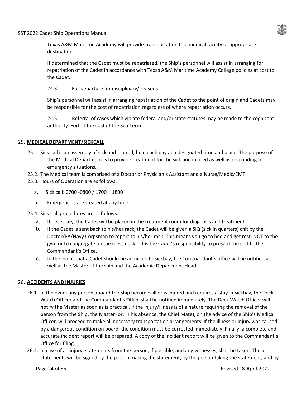

Texas A&M Maritime Academy will provide transportation to a medical facility or appropriate destination.

If determined that the Cadet must be repatriated, the Ship's personnel will assist in arranging for repatriation of the Cadet in accordance with Texas A&M Maritime Academy College policies at cost to the Cadet.

24.3. For departure for disciplinary/ reasons:

Ship's personnel will assist in arranging repatriation of the Cadet to the point of origin and Cadets may be responsible for the cost of repatriation regardless of where repatriation occurs.

24.5 Referral of cases which violate federal and/or state statutes may be made to the cognizant authority. Forfeit the cost of the Sea Term.

#### <span id="page-23-0"></span>25. **MEDICAL DEPARTMENT/SICKCALL**

- 25.1. Sick call is an assembly of sick and injured, held each day at a designated time and place. The purpose of the Medical Department is to provide treatment for the sick and injured as well as responding to emergency situations.
- 25.2. The Medical team is comprised of a Doctor or Physician's Assistant and a Nurse/Medic/EMT
- 25.3. Hours of Operation are as follows:
	- a. Sick call: 0700 -0800 / 1700 1800
	- b. Emergencies are treated at any time.
- 25.4. Sick Call procedures are as follows:
	- a. If necessary, the Cadet will be placed in the treatment room for diagnosis and treatment.
	- b. If the Cadet is sent back to his/her rack, the Cadet will be given a SIQ (sick in quarters) chit by the Doctor/PA/Navy Corpsman to report to his/her rack. This means you go to bed and get rest, NOT to the gym or to congregate on the mess deck. It is the Cadet's responsibility to present the chit to the Commandant's Office.
	- c. In the event that a Cadet should be admitted to sickbay, the Commandant's office will be notified as well as the Master of the ship and the Academic Department Head.

#### <span id="page-23-1"></span>26. **ACCIDENTS AND INJURIES**

- 26.1. In the event any person aboard the Ship becomes ill or is injured and requires a stay in Sickbay, the Deck Watch Officer and the Commandant's Office shall be notified immediately. The Deck Watch Officer will notify the Master as soon as is practical. If the injury/illness is of a nature requiring the removal of the person from the Ship, the Master (or, in his absence, the Chief Mate), on the advice of the Ship's Medical Officer, will proceed to make all necessary transportation arrangements. If the illness or injury was caused by a dangerous condition on board, the condition must be corrected immediately. Finally, a complete and accurate incident report will be prepared. A copy of the incident report will be given to the Commandant's Office for filing.
- 26.2. In case of an injury, statements from the person, if possible, and any witnesses, shall be taken. These statements will be signed by the person making the statement, by the person taking the statement, and by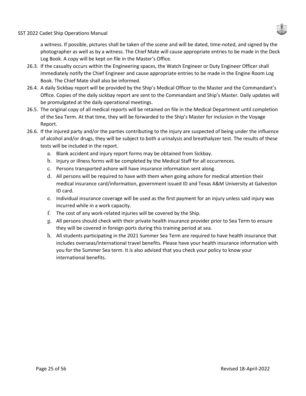

- 26.3. If the casualty occurs within the Engineering spaces, the Watch Engineer or Duty Engineer Officer shall immediately notify the Chief Engineer and cause appropriate entries to be made in the Engine Room Log Book. The Chief Mate shall also be informed.
- 26.4. A daily Sickbay report will be provided by the Ship's Medical Officer to the Master and the Commandant's Office. Copies of the daily sickbay report are sent to the Commandant and Ship's Master. Daily updates will be promulgated at the daily operational meetings.
- 26.5. The original copy of all medical reports will be retained on file in the Medical Department until completion of the Sea Term. At that time, they will be forwarded to the Ship's Master for inclusion in the Voyage Report.
- 26.6. If the injured party and/or the parties contributing to the injury are suspected of being under the influence of alcohol and/or drugs, they will be subject to both a urinalysis and breathalyzer test. The results of these tests will be included in the report.
	- a. Blank accident and injury report forms may be obtained from Sickbay.
	- b. Injury or illness forms will be completed by the Medical Staff for all occurrences.
	- c. Persons transported ashore will have insurance information sent along.
	- d. All persons will be required to have with them when going ashore for medical attention their medical insurance card/information, government issued ID and Texas A&M University at Galveston ID card.
	- e. Individual insurance coverage will be used as the first payment for an injury unless said injury was incurred while in a work capacity.
	- f. The cost of any work-related injuries will be covered by the Ship.
	- g. All persons should check with their private health insurance provider prior to Sea Term to ensure they will be covered in foreign ports during this training period at sea.
	- h. All students participating in the 2021 Summer Sea Term are required to have health insurance that includes overseas/international travel benefits. Please have your health insurance information with you for the Summer Sea term. It is also advised that you check your policy to know your international benefits.

<span id="page-24-0"></span>

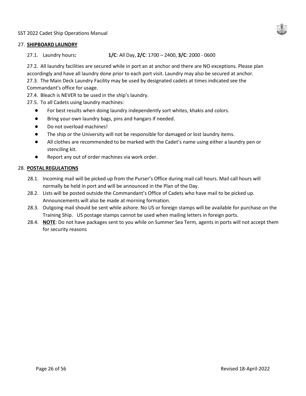#### 27. **SHIPBOARD LAUNDRY**

27.1. Laundry hours**: 1/C**: All Day, **2/C**: 1700 – 2400, **3/C**: 2000 - 0600

27.2. All laundry facilities are secured while in port an at anchor and there are NO exceptions. Please plan accordingly and have all laundry done prior to each port visit. Laundry may also be secured at anchor. 27.3. The Main Deck Laundry Facility may be used by designated cadets at times indicated see the Commandant's office for usage.

27.4. Bleach is NEVER to be used in the ship's laundry.

27.5. To all Cadets using laundry machines:

- For best results when doing laundry independently sort whites, khakis and colors.
- Bring your own laundry bags, pins and hangars if needed.
- Do not overload machines!
- The ship or the University will not be responsible for damaged or lost laundry items.
- All clothes are recommended to be marked with the Cadet's name using either a laundry pen or stenciling kit.
- Report any out of order machines via work order.

#### <span id="page-25-0"></span>28. **POSTAL REGULATIONS**

- 28.1. Incoming mail will be picked up from the Purser's Office during mail call hours. Mail call hours will normally be held in port and will be announced in the Plan of the Day.
- 28.2. Lists will be posted outside the Commandant's Office of Cadets who have mail to be picked up. Announcements will also be made at morning formation.
- 28.3. Outgoing mail should be sent while ashore. No US or foreign stamps will be available for purchase on the Training Ship. US postage stamps cannot be used when mailing letters in foreign ports.
- 28.4. **NOTE**: Do not have packages sent to you while on Summer Sea Term, agents in ports will not accept them for security reasons

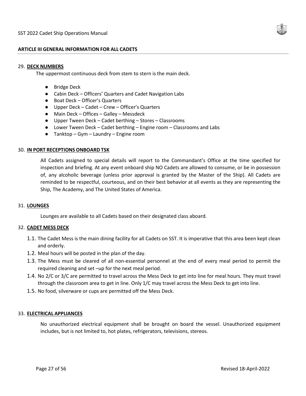#### <span id="page-26-0"></span>**ARTICLE III GENERAL INFORMATION FOR ALL CADETS**

#### <span id="page-26-1"></span>29. **DECK NUMBERS**

The uppermost continuous deck from stem to stern is the main deck.

- Bridge Deck
- Cabin Deck Officers' Quarters and Cadet Navigation Labs
- Boat Deck Officer's Quarters
- Upper Deck Cadet Crew Officer's Quarters
- Main Deck Offices Galley Messdeck
- Upper Tween Deck Cadet berthing Stores Classrooms
- Lower Tween Deck Cadet berthing Engine room Classrooms and Labs
- Tanktop Gym Laundry Engine room

#### <span id="page-26-2"></span>30. **IN PORT RECEPTIONS ONBOARD TSK**

All Cadets assigned to special details will report to the Commandant's Office at the time specified for inspection and briefing. At any event onboard ship NO Cadets are allowed to consume, or be in possession of, any alcoholic beverage (unless prior approval is granted by the Master of the Ship). All Cadets are reminded to be respectful, courteous, and on their best behavior at all events as they are representing the Ship, The Academy, and The United States of America.

#### <span id="page-26-3"></span>31. **LOUNGES**

Lounges are available to all Cadets based on their designated class aboard.

#### <span id="page-26-4"></span>32. **CADET MESS DECK**

- 1.1. The Cadet Mess is the main dining facility for all Cadets on SST. It is imperative that this area been kept clean and orderly.
- 1.2. Meal hours will be posted in the plan of the day.
- 1.3. The Mess must be cleared of all non-essential personnel at the end of every meal period to permit the required cleaning and set –up for the next meal period.
- 1.4. No 2/C or 3/C are permitted to travel across the Mess Deck to get into line for meal hours. They must travel through the classroom area to get in line. Only 1/C may travel across the Mess Deck to get into line.
- 1.5. No food, silverware or cups are permitted off the Mess Deck.

#### <span id="page-26-5"></span>33. **ELECTRICAL APPLIANCES**

No unauthorized electrical equipment shall be brought on board the vessel. Unauthorized equipment includes, but is not limited to, hot plates, refrigerators, televisions, stereos.

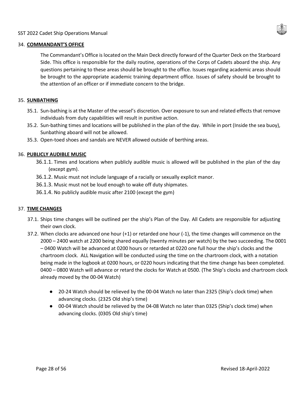#### <span id="page-27-0"></span>34. **COMMANDANT'S OFFICE**

The Commandant's Office is located on the Main Deck directly forward of the Quarter Deck on the Starboard Side. This office is responsible for the daily routine, operations of the Corps of Cadets aboard the ship. Any questions pertaining to these areas should be brought to the office. Issues regarding academic areas should be brought to the appropriate academic training department office. Issues of safety should be brought to the attention of an officer or if immediate concern to the bridge.

#### 35. **SUNBATHING**

- 35.1. Sun-bathing is at the Master of the vessel's discretion. Over exposure to sun and related effects that remove individuals from duty capabilities will result in punitive action.
- 35.2. Sun-bathing times and locations will be published in the plan of the day. While in port (Inside the sea buoy), Sunbathing aboard will not be allowed.
- 35.3. Open-toed shoes and sandals are NEVER allowed outside of berthing areas.

#### 36. **PUBLICLY AUDIBLE MUSIC**

- 36.1.1. Times and locations when publicly audible music is allowed will be published in the plan of the day (except gym).
- 36.1.2. Music must not include language of a racially or sexually explicit manor.
- 36.1.3. Music must not be loud enough to wake off duty shipmates.
- 36.1.4. No publicly audible music after 2100 (except the gym)

#### <span id="page-27-1"></span>37. **TIME CHANGES**

- 37.1. Ships time changes will be outlined per the ship's Plan of the Day. All Cadets are responsible for adjusting their own clock.
- <span id="page-27-2"></span>37.2. When clocks are advanced one hour (+1) or retarded one hour (-1), the time changes will commence on the 2000 – 2400 watch at 2200 being shared equally (twenty minutes per watch) by the two succeeding. The 0001 – 0400 Watch will be advanced at 0200 hours or retarded at 0220 one full hour the ship's clocks and the chartroom clock. ALL Navigation will be conducted using the time on the chartroom clock, with a notation being made in the logbook at 0200 hours, or 0220 hours indicating that the time change has been completed. 0400 – 0800 Watch will advance or retard the clocks for Watch at 0500. (The Ship's clocks and chartroom clock already moved by the 00-04 Watch)
	- 20-24 Watch should be relieved by the 00-04 Watch no later than 2325 (Ship's clock time) when advancing clocks. (2325 Old ship's time)
	- 00-04 Watch should be relieved by the 04-08 Watch no later than 0325 (Ship's clock time) when advancing clocks. (0305 Old ship's time)

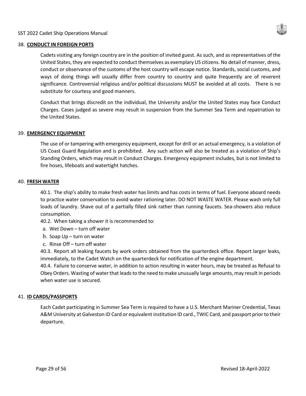

Cadets visiting any foreign country are in the position of invited guest. As such, and as representatives of the United States, they are expected to conduct themselves as exemplary US citizens. No detail of manner, dress, conduct or observance of the customs of the host country will escape notice. Standards, social customs, and ways of doing things will usually differ from country to country and quite frequently are of reverent significance. Controversial religious and/or political discussions MUST be avoided at all costs. There is no substitute for courtesy and good manners.

Conduct that brings discredit on the individual, the University and/or the United States may face Conduct Charges. Cases judged as severe may result in suspension from the Summer Sea Term and repatriation to the United States.

#### <span id="page-28-0"></span>39. **EMERGENCY EQUIPMENT**

The use of or tampering with emergency equipment, except for drill or an actual emergency, is a violation of US Coast Guard Regulation and is prohibited. Any such action will also be treated as a violation of Ship's Standing Orders, which may result in Conduct Charges. Emergency equipment includes, but is not limited to fire hoses, lifeboats and watertight hatches.

#### <span id="page-28-1"></span>40. **FRESH WATER**

40.1. The ship's ability to make fresh water has limits and has costs in terms of fuel. Everyone aboard needs to practice water conservation to avoid water rationing later. DO NOT WASTE WATER. Please wash only full loads of laundry. Shave out of a partially filled sink rather than running faucets. Sea-showers also reduce consumption.

40.2. When taking a shower it is recommended to:

- a. Wet Down turn off water
- b. Soap Up turn on water
- c. Rinse Off turn off water

40.3. Report all leaking faucets by work orders obtained from the quarterdeck office. Report larger leaks, immediately, to the Cadet Watch on the quarterdeck for notification of the engine department.

40.4. Failure to conserve water, in addition to action resulting in water hours, may be treated as Refusal to Obey Orders. Wasting of water that leads to the need to make unusually large amounts, may result in periods when water use is secured.

#### <span id="page-28-2"></span>41. **ID CARDS/PASSPORTS**

Each Cadet participating in Summer Sea Term is required to have a U.S. Merchant Mariner Credential, Texas A&M University at Galveston ID Card or equivalent institution ID card., TWIC Card, and passport prior to their departure.

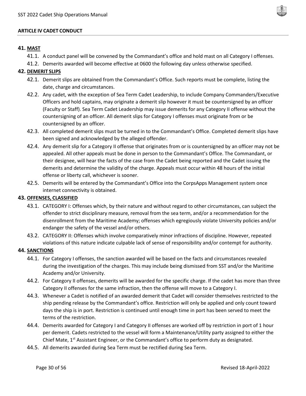

#### <span id="page-29-0"></span>**ARTICLE IV CADET CONDUCT**

#### **41. MAST**

- 41.1. A conduct panel will be convened by the Commandant's office and hold mast on all Category I offenses.
- 41.2. Demerits awarded will become effective at 0600 the following day unless otherwise specified.

#### **42. DEMERIT SLIPS**

- 42.1. Demerit slips are obtained from the Commandant's Office. Such reports must be complete, listing the date, charge and circumstances.
- 42.2. Any cadet, with the exception of Sea Term Cadet Leadership, to include Company Commanders/Executive Officers and hold captains, may originate a demerit slip however it must be countersigned by an officer (Faculty or Staff). Sea Term Cadet Leadership may issue demerits for any Category II offense without the countersigning of an officer. All demerit slips for Category I offenses must originate from or be countersigned by an officer.
- 42.3. All completed demerit slips must be turned in to the Commandant's Office. Completed demerit slips have been signed and acknowledged by the alleged offender.
- 42.4. Any demerit slip for a Category II offense that originates from or is countersigned by an officer may not be appealed. All other appeals must be done in person to the Commandant's Office. The Commandant, or their designee, will hear the facts of the case from the Cadet being reported and the Cadet issuing the demerits and determine the validity of the charge. Appeals must occur within 48 hours of the initial offense or liberty call, whichever is sooner.
- 42.5. Demerits will be entered by the Commandant's Office into the CorpsApps Management system once internet connectivity is obtained.

#### **43. OFFENSES, CLASSIFIED**

- 43.1. CATEGORY I: Offenses which, by their nature and without regard to other circumstances, can subject the offender to strict disciplinary measure, removal from the sea term, and/or a recommendation for the disenrollment from the Maritime Academy; offenses which egregiously violate University policies and/or endanger the safety of the vessel and/or others.
- 43.2. CATEGORY II: Offenses which involve comparatively minor infractions of discipline. However, repeated violations of this nature indicate culpable lack of sense of responsibility and/or contempt for authority.

#### **44. SANCTIONS**

- 44.1. For Category I offenses, the sanction awarded will be based on the facts and circumstances revealed during the investigation of the charges. This may include being dismissed from SST and/or the Maritime Academy and/or University.
- 44.2. For Category II offenses, demerits will be awarded for the specific charge. If the cadet has more than three Category II offenses for the same infraction, then the offense will move to a Category I.
- 44.3. Whenever a Cadet is notified of an awarded demerit that Cadet will consider themselves restricted to the ship pending release by the Commandant's office. Restriction will only be applied and only count toward days the ship is in port. Restriction is continued until enough time in port has been served to meet the terms of the restriction.
- 44.4. Demerits awarded for Category I and Category II offenses are worked off by restriction in port of 1 hour per demerit. Cadets restricted to the vessel will form a Maintenance/Utility party assigned to either the Chief Mate, 1<sup>st</sup> Assistant Engineer, or the Commandant's office to perform duty as designated.
- 44.5. All demerits awarded during Sea Term must be rectified during Sea Term.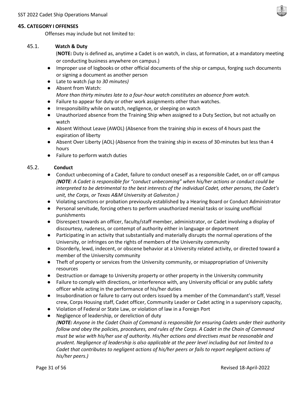

#### **45. CATEGORY I OFFENSES**

Offenses may include but not limited to:

#### 45.1. **Watch & Duty**

 (**NOTE:** Duty is defined as, anytime a Cadet is on watch, in class, at formation, at a mandatory meeting or conducting business anywhere on campus.)

- Improper use of logbooks or other official documents of the ship or campus, forging such documents or signing a document as another person
- Late to watch *(up to 30 minutes)*
- Absent from Watch: *More than thirty minutes late to a four-hour watch constitutes an absence from watch.*
- Failure to appear for duty or other work assignments other than watches.
- Irresponsibility while on watch, negligence, or sleeping on watch
- Unauthorized absence from the Training Ship when assigned to a Duty Section, but not actually on watch
- Absent Without Leave (AWOL) (Absence from the training ship in excess of 4 hours past the expiration of liberty
- Absent Over Liberty (AOL) (Absence from the training ship in excess of 30-minutes but less than 4 hours
- Failure to perform watch duties

#### 45.2. **Conduct**

- Conduct unbecoming of a Cadet, failure to conduct oneself as a responsible Cadet, on or off campus *(NOTE: A Cadet is responsible for "conduct unbecoming" when his/her actions or conduct could be interpreted to be detrimental to the best interests of the individual Cadet, other persons, the Cadet's unit, the Corps, or Texas A&M University at Galveston.)*
- Violating sanctions or probation previously established by a Hearing Board or Conduct Administrator
- Personal servitude, forcing others to perform unauthorized menial tasks or issuing unofficial punishments
- Disrespect towards an officer, faculty/staff member, administrator, or Cadet involving a display of discourtesy, rudeness, or contempt of authority either in language or deportment
- Participating in an activity that substantially and materially disrupts the normal operations of the University, or infringes on the rights of members of the University community
- Disorderly, lewd, indecent, or obscene behavior at a University related activity, or directed toward a member of the University community
- Theft of property or services from the University community, or misappropriation of University resources
- Destruction or damage to University property or other property in the University community
- Failure to comply with directions, or interference with, any University official or any public safety officer while acting in the performance of his/her duties
- Insubordination or failure to carry out orders issued by a member of the Commandant's staff, Vessel crew, Corps Housing staff, Cadet officer, Community Leader or Cadet acting in a supervisory capacity,
- Violation of Federal or State Law, or violation of law in a Foreign Port
- Negligence of leadership, or dereliction of duty
	- *(NOTE: Anyone in the Cadet Chain of Command is responsible for ensuring Cadets under their authority follow and obey the policies, procedures, and rules of the Corps. A Cadet in the Chain of Command must be wise with his/her use of authority. His/her actions and directives must be reasonable and prudent. Negligence of leadership is also applicable at the peer level including but not limited to a Cadet that contributes to negligent actions of his/her peers or fails to report negligent actions of his/her peers.)*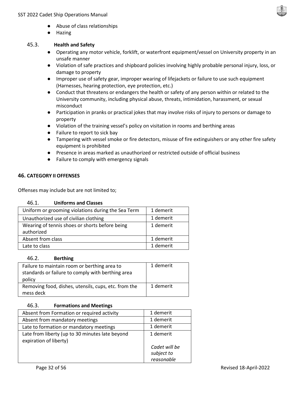

- Abuse of class relationships
- Hazing

#### 45.3. **Health and Safety**

- Operating any motor vehicle, forklift, or waterfront equipment/vessel on University property in an unsafe manner
- Violation of safe practices and shipboard policies involving highly probable personal injury, loss, or damage to property
- Improper use of safety gear, improper wearing of lifejackets or failure to use such equipment (Harnesses, hearing protection, eye protection, etc.)
- Conduct that threatens or endangers the health or safety of any person within or related to the University community, including physical abuse, threats, intimidation, harassment, or sexual misconduct
- Participation in pranks or practical jokes that may involve risks of injury to persons or damage to property
- Violation of the training vessel's policy on visitation in rooms and berthing areas
- Failure to report to sick bay
- Tampering with vessel smoke or fire detectors, misuse of fire extinguishers or any other fire safety equipment is prohibited
- Presence in areas marked as unauthorized or restricted outside of official business
- Failure to comply with emergency signals

#### **46. CATEGORY II OFFENSES**

Offenses may include but are not limited to;

#### 46.1. **Uniforms and Classes**

| Uniform or grooming violations during the Sea Term           | 1 demerit |
|--------------------------------------------------------------|-----------|
| Unauthorized use of civilian clothing                        | 1 demerit |
| Wearing of tennis shoes or shorts before being<br>authorized | 1 demerit |
| Absent from class                                            | 1 demerit |
| Late to class                                                | 1 demerit |

#### 46.2. **Berthing**

| Failure to maintain room or berthing area to         | 1 demerit |
|------------------------------------------------------|-----------|
| standards or failure to comply with berthing area    |           |
| policy                                               |           |
| Removing food, dishes, utensils, cups, etc. from the | 1 demerit |
| mess deck                                            |           |

#### 46.3. **Formations and Meetings**

| Absent from Formation or required activity                                | 1 demerit                                 |
|---------------------------------------------------------------------------|-------------------------------------------|
| Absent from mandatory meetings                                            | 1 demerit                                 |
| Late to formation or mandatory meetings                                   | 1 demerit                                 |
| Late from liberty (up to 30 minutes late beyond<br>expiration of liberty) | 1 demerit                                 |
|                                                                           | Cadet will be<br>subject to<br>reasonable |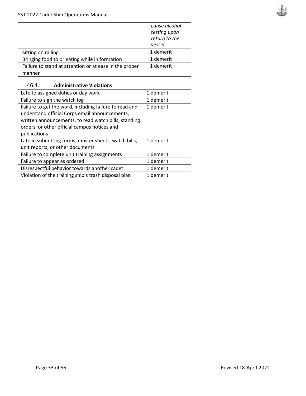|                                                        | cause alcohol |
|--------------------------------------------------------|---------------|
|                                                        | testing upon  |
|                                                        | return to the |
|                                                        | vessel        |
| Sitting on railing                                     | 1 demerit     |
| Bringing food to or eating while in formation          | 1 demerit     |
| Failure to stand at attention or at ease in the proper | 1 demerit     |
| manner                                                 |               |

#### 46.4. **Administrative Violations**

| Late to assigned duties or day work                                                                      | 1 demerit |
|----------------------------------------------------------------------------------------------------------|-----------|
| Failure to sign the watch log                                                                            | 1 demerit |
| Failure to get the word, including failure to read and<br>understand official Corps email announcements, | 1 demerit |
| written announcements, to read watch bills, standing                                                     |           |
| orders, or other official campus notices and                                                             |           |
| publications                                                                                             |           |
| Late in submitting forms, muster sheets, watch bills,                                                    | 1 demerit |
| unit reports, or other documents                                                                         |           |
| Failure to complete unit training assignments                                                            | 1 demerit |
| Failure to appear as ordered                                                                             | 1 demerit |
| Disrespectful behavior towards another cadet                                                             | 1 demerit |
| Violation of the training ship's trash disposal plan                                                     | 1 demerit |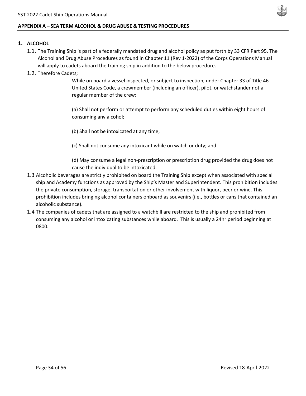#### <span id="page-33-0"></span>**APPENDIX A – SEA TERM ALCOHOL & DRUG ABUSE & TESTING PROCEDURES**

#### **1. ALCOHOL**

- 1.1. The Training Ship is part of a federally mandated drug and alcohol policy as put forth by 33 CFR Part 95. The Alcohol and Drug Abuse Procedures as found in Chapter 11 (Rev 1-2022) of the Corps Operations Manual will apply to cadets aboard the training ship in addition to the below procedure.
- 1.2. Therefore Cadets;

While on board a vessel inspected, or subject to inspection, under Chapter 33 of Title 46 United States Code, a crewmember (including an officer), pilot, or watchstander not a regular member of the crew:

(a) Shall not perform or attempt to perform any scheduled duties within eight hours of consuming any alcohol;

- (b) Shall not be intoxicated at any time;
- (c) Shall not consume any intoxicant while on watch or duty; and
- (d) May consume a legal non-prescription or prescription drug provided the drug does not cause the individual to be intoxicated.
- 1.3 Alcoholic beverages are strictly prohibited on board the Training Ship except when associated with special ship and Academy functions as approved by the Ship's Master and Superintendent. This prohibition includes the private consumption, storage, transportation or other involvement with liquor, beer or wine. This prohibition includes bringing alcohol containers onboard as souvenirs (i.e., bottles or cans that contained an alcoholic substance).
- 1.4 The companies of cadets that are assigned to a watchbill are restricted to the ship and prohibited from consuming any alcohol or intoxicating substances while aboard. This is usually a 24hr period beginning at 0800.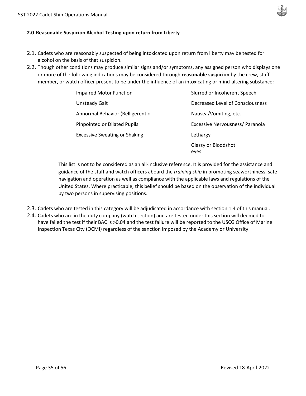

#### **2.0 Reasonable Suspicion Alcohol Testing upon return from Liberty**

- 2.1. Cadets who are reasonably suspected of being intoxicated upon return from liberty may be tested for alcohol on the basis of that suspicion.
- 2.2. Though other conditions may produce similar signs and/or symptoms, any assigned person who displays one or more of the following indications may be considered through **reasonable suspicion** by the crew, staff member, or watch officer present to be under the influence of an intoxicating or mind-altering substance:

| <b>Impaired Motor Function</b>       | Slurred or Incoherent Speech     |
|--------------------------------------|----------------------------------|
| <b>Unsteady Gait</b>                 | Decreased Level of Consciousness |
| Abnormal Behavior (Belligerent o     | Nausea/Vomiting, etc.            |
| Pinpointed or Dilated Pupils         | Excessive Nervousness/ Paranoia  |
| <b>Excessive Sweating or Shaking</b> | Lethargy                         |
|                                      | Glassy or Bloodshot<br>eyes      |

This list is not to be considered as an all-inclusive reference. It is provided for the assistance and guidance of the staff and watch officers aboard the *training ship* in promoting seaworthiness, safe navigation and operation as well as compliance with the applicable laws and regulations of the United States. Where practicable, this belief should be based on the observation of the individual by two persons in supervising positions.

- 2.3. Cadets who are tested in this category will be adjudicated in accordance with section 1.4 of this manual.
- 2.4. Cadets who are in the duty company (watch section) and are tested under this section will deemed to have failed the test if their BAC is >0.04 and the test failure will be reported to the USCG Office of Marine Inspection Texas City (OCMI) regardless of the sanction imposed by the Academy or University.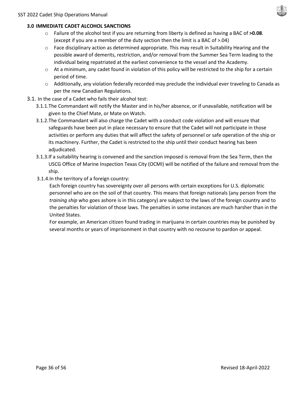#### **3.0 IMMEDIATE CADET ALCOHOL SANCTIONS**

- o Failure of the alcohol test if you are returning from liberty is defined as having a BAC of **>0.08**. (except if you are a member of the duty section then the limit is a BAC of >.04)
- $\circ$  Face disciplinary action as determined appropriate. This may result in Suitability Hearing and the possible award of demerits, restriction, and/or removal from the Summer Sea Term leading to the individual being repatriated at the earliest convenience to the vessel and the Academy.
- $\circ$  At a minimum, any cadet found in violation of this policy will be restricted to the ship for a certain period of time.
- $\circ$  Additionally, any violation federally recorded may preclude the individual ever traveling to Canada as per the new Canadian Regulations.
- 3.1. In the case of a Cadet who fails their alcohol test:
	- 3.1.1.The Commandant will notify the Master and in his/her absence, or if unavailable, notification will be given to the Chief Mate, or Mate on Watch.
	- 3.1.2.The Commandant will also charge the Cadet with a conduct code violation and will ensure that safeguards have been put in place necessary to ensure that the Cadet will not participate in those activities or perform any duties that will affect the safety of personnel or safe operation of the ship or its machinery. Further, the Cadet is restricted to the ship until their conduct hearing has been adjudicated.
	- 3.1.3.If a suitability hearing is convened and the sanction imposed is removal from the Sea Term, then the USCG Office of Marine Inspection Texas City (OCMI) will be notified of the failure and removal from the ship.
	- 3.1.4.In the territory of a foreign country:

Each foreign country has sovereignty over all persons with certain exceptions for U.S. diplomatic personnel who are on the soil of that country. This means that foreign nationals (any person from the *training ship* who goes ashore is in this category) are subject to the laws of the foreign country and to the penalties for violation of those laws. The penalties in some instances are much harsher than in the United States.

For example, an American citizen found trading in marijuana in certain countries may be punished by several months or years of imprisonment in that country with no recourse to pardon or appeal.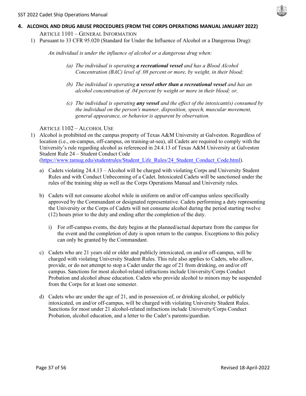

#### <span id="page-36-1"></span><span id="page-36-0"></span>**4. ALCOHOL AND DRUG ABUSE PROCEDURES (FROM THE CORPS OPERATIONS MANUAL JANUARY 2022)**

ARTICLE 1101 – GENERAL INFORMATION

1) Pursuant to 33 CFR 95.020 (Standard for Under the Influence of Alcohol or a Dangerous Drug):

*An individual is under the influence of alcohol or a dangerous drug when:* 

- *(a) The individual is operating a recreational vessel and has a Blood Alcohol Concentration (BAC) level of .08 percent or more, by weight, in their blood;*
- *(b) The individual is operating a vessel other than a recreational vessel and has an alcohol concentration of .04 percent by weight or more in their blood; or,*
- *(c) The individual is operating any vessel and the effect of the intoxicant(s) consumed by the individual on the person's manner, disposition, speech, muscular movement, general appearance, or behavior is apparent by observation.*

ARTICLE 1102 – ALCOHOL USE

- <span id="page-36-2"></span>1) Alcohol is prohibited on the campus property of Texas A&M University at Galveston. Regardless of location (i.e., on-campus, off-campus, on training-at-sea), all Cadets are required to comply with the University's rule regarding alcohol as referenced in 24.4.13 of Texas A&M University at Galveston Student Rule 24 – Student Conduct Code [\(https://www.tamug.edu/studentrules/Student\\_Life\\_Rules/24\\_Student\\_Conduct\\_Code.html\)](https://www.tamug.edu/studentrules/Student_Life_Rules/24_Student_Conduct_Code.html).
	- a) Cadets violating 24.4.13 Alcohol will be charged with violating Corps and University Student Rules and with Conduct Unbecoming of a Cadet. Intoxicated Cadets will be sanctioned under the rules of the training ship as well as the Corps Operations Manual and University rules.
	- b) Cadets will not consume alcohol while in uniform on and/or off-campus unless specifically approved by the Commandant or designated representative. Cadets performing a duty representing the University or the Corps of Cadets will not consume alcohol during the period starting twelve (12) hours prior to the duty and ending after the completion of the duty.
		- i) For off-campus events, the duty begins at the planned/actual departure from the campus for the event and the completion of duty is upon return to the campus. Exceptions to this policy can only be granted by the Commandant.
	- c) Cadets who are 21 years old or older and publicly intoxicated, on and/or off-campus, will be charged with violating University Student Rules. This rule also applies to Cadets, who allow, provide, or do not attempt to stop a Cadet under the age of 21 from drinking, on and/or off campus. Sanctions for most alcohol-related infractions include University/Corps Conduct Probation and alcohol abuse education. Cadets who provide alcohol to minors may be suspended from the Corps for at least one semester.
	- d) Cadets who are under the age of 21, and in possession of, or drinking alcohol, or publicly intoxicated, on and/or off-campus, will be charged with violating University Student Rules. Sanctions for most under 21 alcohol-related infractions include University/Corps Conduct Probation, alcohol education, and a letter to the Cadet's parents/guardian.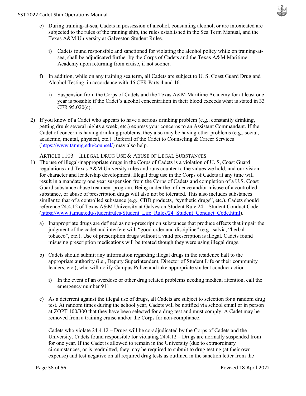- e) During training-at-sea, Cadets in possession of alcohol, consuming alcohol, or are intoxicated are subjected to the rules of the training ship, the rules established in the Sea Term Manual, and the Texas A&M University at Galveston Student Rules.
	- i) Cadets found responsible and sanctioned for violating the alcohol policy while on training-atsea, shall be adjudicated further by the Corps of Cadets and the Texas A&M Maritime Academy upon returning from cruise, if not sooner.
- f) In addition, while on any training sea term, all Cadets are subject to U. S. Coast Guard Drug and Alcohol Testing, in accordance with 46 CFR Parts 4 and 16.
	- i) Suspension from the Corps of Cadets and the Texas A&M Maritime Academy for at least one year is possible if the Cadet's alcohol concentration in their blood exceeds what is stated in 33 CFR 95.020(c).
- 2) If you know of a Cadet who appears to have a serious drinking problem (e.g., constantly drinking, getting drunk several nights a week, etc.) express your concerns to an Assistant Commandant. If the Cadet of concern is having drinking problems, they also may be having other problems (e.g., social, academic, mental, physical, etc.). Referral of the Cadet to Counseling & Career Services [\(https://www.tamug.edu/counsel/\)](https://www.tamug.edu/counsel/) may also help.

ARTICLE 1103 – ILLEGAL DRUG USE & ABUSE OF LEGAL SUBSTANCES

- <span id="page-37-0"></span>1) The use of illegal/inappropriate drugs in the Corps of Cadets is a violation of U. S, Coast Guard regulations and Texas A&M University rules and runs counter to the values we hold, and our vision for character and leadership development. Illegal drug use in the Corps of Cadets at any time will result in a mandatory one year suspension from the Corps of Cadets and completion of a U.S. Coast Guard substance abuse treatment program. Being under the influence and/or misuse of a controlled substance, or abuse of prescription drugs will also not be tolerated. This also includes substances similar to that of a controlled substance (e.g., CBD products, "synthetic drugs", etc.). Cadets should reference 24.4.12 of Texas A&M University at Galveston Student Rule 24 – Student Conduct Code [\(https://www.tamug.edu/studentrules/Student\\_Life\\_Rules/24\\_Student\\_Conduct\\_Code.html\)](https://www.tamug.edu/studentrules/Student_Life_Rules/24_Student_Conduct_Code.html).
	- a) Inappropriate drugs are defined as non-prescription substances that produce effects that impair the judgment of the cadet and interfere with "good order and discipline" (e.g., salvia, "herbal tobacco", etc.). Use of prescription drugs without a valid prescription is illegal. Cadets found misusing prescription medications will be treated though they were using illegal drugs.
	- b) Cadets should submit any information regarding illegal drugs in the residence hall to the appropriate authority (i.e., Deputy Superintendent, Director of Student Life or their community leaders, etc.), who will notify Campus Police and take appropriate student conduct action.
		- i) In the event of an overdose or other drug related problems needing medical attention, call the emergency number 911.
	- c) As a deterrent against the illegal use of drugs, all Cadets are subject to selection for a random drug test. At random times during the school year, Cadets will be notified via school email or in person at ZOPT 100/300 that they have been selected for a drug test and must comply. A Cadet may be removed from a training cruise and/or the Corps for non-compliance.

Cadets who violate 24.4.12 – Drugs will be co-adjudicated by the Corps of Cadets and the University. Cadets found responsible for violating 24.4.12 – Drugs are normally suspended from for one year. If the Cadet is allowed to remain in the University (due to extraordinary circumstances, or is readmitted, they may be required to submit to drug testing (at their own expense) and test negative on all required drug tests as outlined in the sanction letter from the



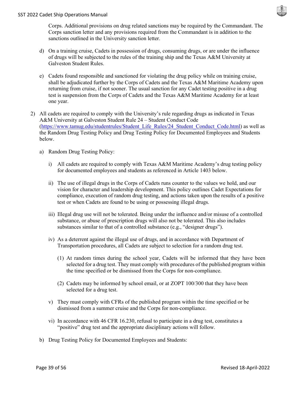

- d) On a training cruise, Cadets in possession of drugs, consuming drugs, or are under the influence of drugs will be subjected to the rules of the training ship and the Texas A&M University at Galveston Student Rules.
- e) Cadets found responsible and sanctioned for violating the drug policy while on training cruise, shall be adjudicated further by the Corps of Cadets and the Texas A&M Maritime Academy upon returning from cruise, if not sooner. The usual sanction for any Cadet testing positive in a drug test is suspension from the Corps of Cadets and the Texas A&M Maritime Academy for at least one year.
- 2) All cadets are required to comply with the University's rule regarding drugs as indicated in Texas A&M University at Galveston Student Rule 24 – Student Conduct Code [\(https://www.tamug.edu/studentrules/Student\\_Life\\_Rules/24\\_Student\\_Conduct\\_Code.html\)](https://www.tamug.edu/studentrules/Student_Life_Rules/24_Student_Conduct_Code.html) as well as the Random Drug Testing Policy and Drug Testing Policy for Documented Employees and Students below.
	- a) Random Drug Testing Policy:
		- i) All cadets are required to comply with Texas A&M Maritime Academy's drug testing policy for documented employees and students as referenced in Article 1403 below.
		- ii) The use of illegal drugs in the Corps of Cadets runs counter to the values we hold, and our vision for character and leadership development. This policy outlines Cadet Expectations for compliance, execution of random drug testing, and actions taken upon the results of a positive test or when Cadets are found to be using or possessing illegal drugs.
		- iii) Illegal drug use will not be tolerated. Being under the influence and/or misuse of a controlled substance, or abuse of prescription drugs will also not be tolerated. This also includes substances similar to that of a controlled substance (e.g., "designer drugs").
		- iv) As a deterrent against the illegal use of drugs, and in accordance with Department of Transportation procedures, all Cadets are subject to selection for a random drug test.
			- (1) At random times during the school year, Cadets will be informed that they have been selected for a drug test. They must comply with procedures of the published program within the time specified or be dismissed from the Corps for non-compliance.
			- (2) Cadets may be informed by school email, or at ZOPT 100/300 that they have been selected for a drug test.
		- v) They must comply with CFRs of the published program within the time specified or be dismissed from a summer cruise and the Corps for non-compliance.
		- vi) In accordance with 46 CFR 16.230, refusal to participate in a drug test, constitutes a "positive" drug test and the appropriate disciplinary actions will follow.
	- b) Drug Testing Policy for Documented Employees and Students:

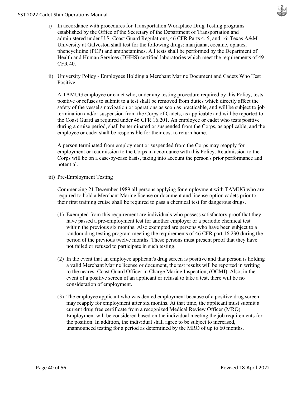

- i) In accordance with procedures for Transportation Workplace Drug Testing programs established by the Office of the Secretary of the Department of Transportation and administered under U.S. Coast Guard Regulations, 46 CFR Parts 4, 5, and 16; Texas A&M University at Galveston shall test for the following drugs: marijuana, cocaine, opiates, phencyclidine (PCP) and amphetamines. All tests shall be performed by the Department of Health and Human Services (DHHS) certified laboratories which meet the requirements of 49 CFR 40.
- ii) University Policy Employees Holding a Merchant Marine Document and Cadets Who Test Positive

A TAMUG employee or cadet who, under any testing procedure required by this Policy, tests positive or refuses to submit to a test shall be removed from duties which directly affect the safety of the vessel's navigation or operations as soon as practicable, and will be subject to job termination and/or suspension from the Corps of Cadets, as applicable and will be reported to the Coast Guard as required under 46 CFR 16.201. An employee or cadet who tests positive during a cruise period, shall be terminated or suspended from the Corps, as applicable, and the employee or cadet shall be responsible for their cost to return home.

A person terminated from employment or suspended from the Corps may reapply for employment or readmission to the Corps in accordance with this Policy. Readmission to the Corps will be on a case-by-case basis, taking into account the person's prior performance and potential.

iii) Pre-Employment Testing

Commencing 21 December 1989 all persons applying for employment with TAMUG who are required to hold a Merchant Marine license or document and license-option cadets prior to their first training cruise shall be required to pass a chemical test for dangerous drugs.

- (1) Exempted from this requirement are individuals who possess satisfactory proof that they have passed a pre-employment test for another employer or a periodic chemical test within the previous six months. Also exempted are persons who have been subject to a random drug testing program meeting the requirements of 46 CFR part 16.230 during the period of the previous twelve months. These persons must present proof that they have not failed or refused to participate in such testing.
- (2) In the event that an employee applicant's drug screen is positive and that person is holding a valid Merchant Marine license or document, the test results will be reported in writing to the nearest Coast Guard Officer in Charge Marine Inspection, (OCMI). Also, in the event of a positive screen of an applicant or refusal to take a test, there will be no consideration of employment.
- (3) The employee applicant who was denied employment because of a positive drug screen may reapply for employment after six months. At that time, the applicant must submit a current drug free certificate from a recognized Medical Review Officer (MRO). Employment will be considered based on the individual meeting the job requirements for the position. In addition, the individual shall agree to be subject to increased, unannounced testing for a period as determined by the MRO of up to 60 months.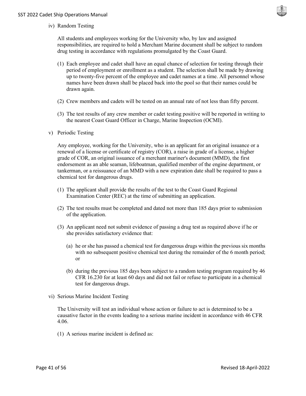

iv) Random Testing

All students and employees working for the University who, by law and assigned responsibilities, are required to hold a Merchant Marine document shall be subject to random drug testing in accordance with regulations promulgated by the Coast Guard.

- (1) Each employee and cadet shall have an equal chance of selection for testing through their period of employment or enrollment as a student. The selection shall be made by drawing up to twenty-five percent of the employee and cadet names at a time. All personnel whose names have been drawn shall be placed back into the pool so that their names could be drawn again.
- (2) Crew members and cadets will be tested on an annual rate of not less than fifty percent.
- (3) The test results of any crew member or cadet testing positive will be reported in writing to the nearest Coast Guard Officer in Charge, Marine Inspection (OCMI).
- v) Periodic Testing

Any employee, working for the University, who is an applicant for an original issuance or a renewal of a license or certificate of registry (COR), a raise in grade of a license, a higher grade of COR, an original issuance of a merchant mariner's document (MMD), the first endorsement as an able seaman, lifeboatman, qualified member of the engine department, or tankerman, or a reissuance of an MMD with a new expiration date shall be required to pass a chemical test for dangerous drugs.

- (1) The applicant shall provide the results of the test to the Coast Guard Regional Examination Center (REC) at the time of submitting an application.
- (2) The test results must be completed and dated not more than 185 days prior to submission of the application.
- (3) An applicant need not submit evidence of passing a drug test as required above if he or she provides satisfactory evidence that:
	- (a) he or she has passed a chemical test for dangerous drugs within the previous six months with no subsequent positive chemical test during the remainder of the 6 month period; or
	- (b) during the previous 185 days been subject to a random testing program required by 46 CFR 16.230 for at least 60 days and did not fail or refuse to participate in a chemical test for dangerous drugs.
- vi) Serious Marine Incident Testing

The University will test an individual whose action or failure to act is determined to be a causative factor in the events leading to a serious marine incident in accordance with 46 CFR 4.06.

(1) A serious marine incident is defined as: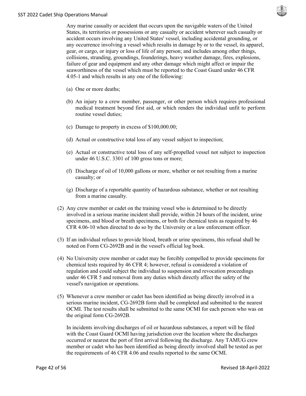

Any marine casualty or accident that occurs upon the navigable waters of the United States, its territories or possessions or any casualty or accident wherever such casualty or accident occurs involving any United States' vessel, including accidental grounding, or any occurrence involving a vessel which results in damage by or to the vessel, its apparel, gear, or cargo, or injury or loss of life of any person; and includes among other things, collisions, stranding, groundings, founderings, heavy weather damage, fires, explosions, failure of gear and equipment and any other damage which might affect or impair the seaworthiness of the vessel which must be reported to the Coast Guard under 46 CFR 4.05-1 and which results in any one of the following:

- (a) One or more deaths;
- (b) An injury to a crew member, passenger, or other person which requires professional medical treatment beyond first aid, or which renders the individual unfit to perform routine vessel duties;
- (c) Damage to property in excess of \$100,000.00;
- (d) Actual or constructive total loss of any vessel subject to inspection;
- (e) Actual or constructive total loss of any self-propelled vessel not subject to inspection under 46 U.S.C. 3301 of 100 gross tons or more;
- (f) Discharge of oil of 10,000 gallons or more, whether or not resulting from a marine casualty; or
- (g) Discharge of a reportable quantity of hazardous substance, whether or not resulting from a marine casualty.
- (2) Any crew member or cadet on the training vessel who is determined to be directly involved in a serious marine incident shall provide, within 24 hours of the incident, urine specimens, and blood or breath specimens, or both for chemical tests as required by 46 CFR 4.06-10 when directed to do so by the University or a law enforcement officer.
- (3) If an individual refuses to provide blood, breath or urine specimens, this refusal shall be noted on Form CG-2692B and in the vessel's official log book.
- (4) No University crew member or cadet may be forcibly compelled to provide specimens for chemical tests required by 46 CFR 4; however, refusal is considered a violation of regulation and could subject the individual to suspension and revocation proceedings under 46 CFR 5 and removal from any duties which directly affect the safety of the vessel's navigation or operations.
- (5) Whenever a crew member or cadet has been identified as being directly involved in a serious marine incident, CG-2692B form shall be completed and submitted to the nearest OCMI. The test results shall be submitted to the same OCMI for each person who was on the original form CG-2692B.

In incidents involving discharges of oil or hazardous substances, a report will be filed with the Coast Guard OCMI having jurisdiction over the location where the discharges occurred or nearest the port of first arrival following the discharge. Any TAMUG crew member or cadet who has been identified as being directly involved shall be tested as per the requirements of 46 CFR 4.06 and results reported to the same OCMI.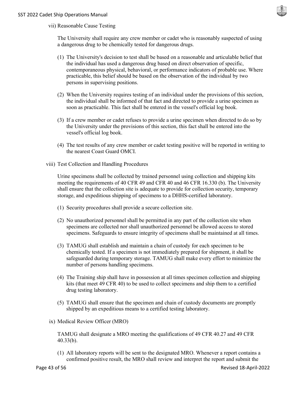

vii) Reasonable Cause Testing

The University shall require any crew member or cadet who is reasonably suspected of using a dangerous drug to be chemically tested for dangerous drugs.

- (1) The University's decision to test shall be based on a reasonable and articulable belief that the individual has used a dangerous drug based on direct observation of specific, contemporaneous physical, behavioral, or performance indicators of probable use. Where practicable, this belief should be based on the observation of the individual by two persons in supervising positions.
- (2) When the University requires testing of an individual under the provisions of this section, the individual shall be informed of that fact and directed to provide a urine specimen as soon as practicable. This fact shall be entered in the vessel's official log book.
- (3) If a crew member or cadet refuses to provide a urine specimen when directed to do so by the University under the provisions of this section, this fact shall be entered into the vessel's official log book.
- (4) The test results of any crew member or cadet testing positive will be reported in writing to the nearest Coast Guard OMCI.
- viii) Test Collection and Handling Procedures

Urine specimens shall be collected by trained personnel using collection and shipping kits meeting the requirements of 40 CFR 49 and CFR 40 and 46 CFR 16.330 (b). The University shall ensure that the collection site is adequate to provide for collection security, temporary storage, and expeditious shipping of specimens to a DHHS-certified laboratory.

- (1) Security procedures shall provide a secure collection site.
- (2) No unauthorized personnel shall be permitted in any part of the collection site when specimens are collected nor shall unauthorized personnel be allowed access to stored specimens. Safeguards to ensure integrity of specimens shall be maintained at all times.
- (3) TAMUG shall establish and maintain a chain of custody for each specimen to be chemically tested. If a specimen is not immediately prepared for shipment, it shall be safeguarded during temporary storage. TAMUG shall make every effort to minimize the number of persons handling specimens.
- (4) The Training ship shall have in possession at all times specimen collection and shipping kits (that meet 49 CFR 40) to be used to collect specimens and ship them to a certified drug testing laboratory.
- (5) TAMUG shall ensure that the specimen and chain of custody documents are promptly shipped by an expeditious means to a certified testing laboratory.
- ix) Medical Review Officer (MRO)

TAMUG shall designate a MRO meeting the qualifications of 49 CFR 40.27 and 49 CFR 40.33(b).

(1) All laboratory reports will be sent to the designated MRO. Whenever a report contains a confirmed positive result, the MRO shall review and interpret the report and submit the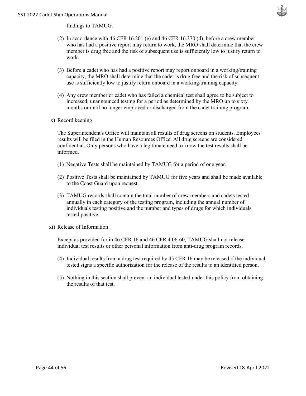

findings to TAMUG.

- (2) In accordance with 46 CFR 16.201 (e) and 46 CFR 16.370 (d), before a crew member who has had a positive report may return to work, the MRO shall determine that the crew member is drug free and the risk of subsequent use is sufficiently low to justify return to work.
- (3) Before a cadet who has had a positive report may report onboard in a working/training capacity, the MRO shall determine that the cadet is drug free and the risk of subsequent use is sufficiently low to justify return onboard in a working/training capacity.
- (4) Any crew member or cadet who has failed a chemical test shall agree to be subject to increased, unannounced testing for a period as determined by the MRO up to sixty months or until no longer employed or discharged from the cadet training program.
- x) Record keeping

The Superintendent's Office will maintain all results of drug screens on students. Employees' results will be filed in the Human Resources Office. All drug screens are considered confidential. Only persons who have a legitimate need to know the test results shall be informed.

- (1) Negative Tests shall be maintained by TAMUG for a period of one year.
- (2) Positive Tests shall be maintained by TAMUG for five years and shall be made available to the Coast Guard upon request.
- (3) TAMUG records shall contain the total number of crew members and cadets tested annually in each category of the testing program, including the annual number of individuals testing positive and the number and types of drugs for which individuals tested positive.
- xi) Release of Information

Except as provided for in 46 CFR 16 and 46 CFR 4.06-60, TAMUG shall not release individual test results or other personal information from anti-drug program records.

- (4) Individual results from a drug test required by 45 CFR 16 may be released if the individual tested signs a specific authorization for the release of the results to an identified person.
- (5) Nothing in this section shall prevent an individual tested under this policy from obtaining the results of that test.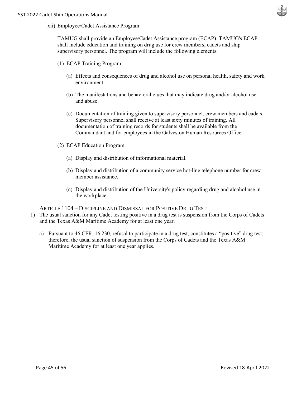

xii) Employee/Cadet Assistance Program

TAMUG shall provide an Employee/Cadet Assistance program (ECAP). TAMUG's ECAP shall include education and training on drug use for crew members, cadets and ship supervisory personnel. The program will include the following elements:

- (1) ECAP Training Program
	- (a) Effects and consequences of drug and alcohol use on personal health, safety and work environment.
	- (b) The manifestations and behavioral clues that may indicate drug and/or alcohol use and abuse.
	- (c) Documentation of training given to supervisory personnel, crew members and cadets. Supervisory personnel shall receive at least sixty minutes of training. All documentation of training records for students shall be available from the Commandant and for employees in the Galveston Human Resources Office.
- (2) ECAP Education Program
	- (a) Display and distribution of informational material.
	- (b) Display and distribution of a community service hot-line telephone number for crew member assistance.
	- (c) Display and distribution of the University's policy regarding drug and alcohol use in the workplace.

ARTICLE 1104 – DISCIPLINE AND DISMISSAL FOR POSITIVE DRUG TEST

- <span id="page-44-0"></span>1) The usual sanction for any Cadet testing positive in a drug test is suspension from the Corps of Cadets and the Texas A&M Maritime Academy for at least one year.
	- a) Pursuant to 46 CFR, 16.230, refusal to participate in a drug test, constitutes a "positive" drug test; therefore, the usual sanction of suspension from the Corps of Cadets and the Texas A&M Maritime Academy for at least one year applies.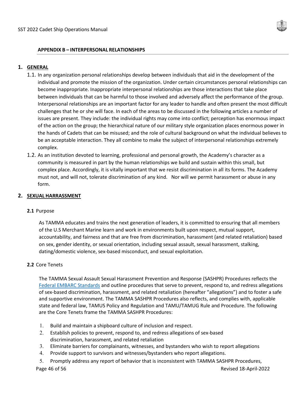

#### <span id="page-45-0"></span>**APPENDIX B – INTERPERSONAL RELATIONSHIPS**

#### <span id="page-45-1"></span>**1. GENERAL**

- 1.1. In any organization personal relationships develop between individuals that aid in the development of the individual and promote the mission of the organization. Under certain circumstances personal relationships can become inappropriate. Inappropriate interpersonal relationships are those interactions that take place between individuals that can be harmful to those involved and adversely affect the performance of the group. Interpersonal relationships are an important factor for any leader to handle and often present the most difficult challenges that he or she will face. In each of the areas to be discussed in the following articles a number of issues are present. They include: the individual rights may come into conflict; perception has enormous impact of the action on the group; the hierarchical nature of our military style organization places enormous power in the hands of Cadets that can be misused; and the role of cultural background on what the individual believes to be an acceptable interaction. They all combine to make the subject of interpersonal relationships extremely complex.
- 1.2. As an institution devoted to learning, professional and personal growth, the Academy's character as a community is measured in part by the human relationships we build and sustain within this small, but complex place. Accordingly, it is vitally important that we resist discrimination in all its forms. The Academy must not, and will not, tolerate discrimination of any kind. Nor will we permit harassment or abuse in any form.

#### <span id="page-45-2"></span>**2. SEXUAL HARRASSMENT**

#### **2.1** Purpose

As TAMMA educates and trains the next generation of leaders, it is committed to ensuring that all members of the U.S Merchant Marine learn and work in environments built upon respect, mutual support, accountability, and fairness and that are free from discrimination, harassment (and related retaliation) based on sex, gender identity, or sexual orientation, including sexual assault, sexual harassment, stalking, dating/domestic violence, sex-based misconduct, and sexual exploitation.

#### **2.2** Core Tenets

The TAMMA Sexual Assault Sexual Harassment Prevention and Response (SASHPR) Procedures reflects the [Federal EMBARC Standards](https://maritime.dot.gov/sites/marad.dot.gov/files/2021-12/EMBARC_Standards.pdf) [a](https://maritime.dot.gov/sites/marad.dot.gov/files/2021-12/EMBARC_Standards.pdf)nd outline procedures that serve to prevent, respond to, and redress allegations of sex-based discrimination, harassment, and related retaliation (hereafter "allegations") and to foster a safe and supportive environment. The TAMMA SASHPR Procedures also reflects, and complies with, applicable state and federal law, TAMUS Policy and Regulation and TAMU/TAMUG Rule and Procedure. The following are the Core Tenets frame the TAMMA SASHPR Procedures:

- 1. Build and maintain a shipboard culture of inclusion and respect.
- 2. Establish policies to prevent, respond to, and redress allegations of sex-based discrimination, harassment, and related retaliation
- 3. Eliminate barriers for complainants, witnesses, and bystanders who wish to report allegations
- 4. Provide support to survivors and witnesses/bystanders who report allegations.

Page 46 of 56 Revised 18-April-2022 5. Promptly address any report of behavior that is inconsistent with TAMMA SASHPR Procedures,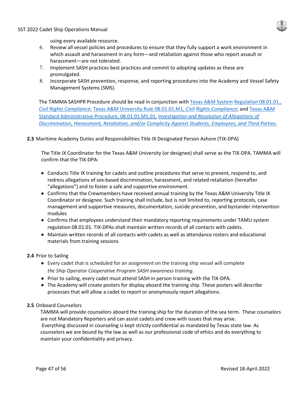

using every available resource.

- 6. Review all vessel policies and procedures to ensure that they fully support a work environment in which assault and harassment in any form—and retaliation against those who report assault or harassment—are not tolerated.
- 7. Implement SASH practices best practices and commit to adopting updates as these are promulgated.
- 8. Incorporate SASH prevention, response, and reporting procedures into the Academy and Vessel Safety Management Systems (SMS).

The TAMMA SASHPR Procedure should be read in conjunction with [Texas A&M System](https://policies.tamus.edu/08-01-01.pdf) Regulation 08.01.01., *[Civil Rights Compliance](https://policies.tamus.edu/08-01-01.pdf)*; [Texas A&M University Rule 08.01.01.M1,](https://rules-saps.tamu.edu/PDFs/08.01.01.M1.pdf) *[Civil](https://rules-saps.tamu.edu/PDFs/08.01.01.M1.pdf) [Rights Compliance](https://rules-saps.tamu.edu/PDFs/08.01.01.M1.pdf)*; and [Texas A&M](https://rules-saps.tamu.edu/PDFs/08.01.01.M1.01.pdf)  [Standard Administrative Procedure, 08.01.01.M1.01](https://rules-saps.tamu.edu/PDFs/08.01.01.M1.01.pdf)*[,](https://rules-saps.tamu.edu/PDFs/08.01.01.M1.01.pdf) [Investigation and Resolution of Allegations of](https://rules-saps.tamu.edu/PDFs/08.01.01.M1.01.pdf)  [Discrimination, Harassment, Retaliation, and/or](https://rules-saps.tamu.edu/PDFs/08.01.01.M1.01.pdf) [Complicity Against Students, Employees, and Third Parties.](https://rules-saps.tamu.edu/PDFs/08.01.01.M1.01.pdf)*

**2.3** Maritime Academy Duties and Responsibilities Title IX Designated Person Ashore (TIX-DPA)

The Title IX Coordinator for the Texas A&M University (or designee) shall serve as the TIX-DPA. TAMMA will confirm that the TIX-DPA:

- Conducts Title IX training for cadets and outline procedures that serve to prevent, respond to, and redress allegations of sex-based discrimination, harassment, and related retaliation (hereafter "allegations") and to foster a safe and supportive environment.
- Confirms that the Crewmembers have received annual training by the Texas A&M University Title IX Coordinator or designee. Such training shall include, but is not limited to, reporting protocols, case management and supportive measures, documentation, suicide prevention, and bystander intervention modules
- Confirms that employees understand their mandatory reporting requirements under TAMU system regulation 08.01.01. TIX-DPAs shall maintain written records of all contacts with cadets.
- Maintain written records of all contacts with cadets as well as attendance rosters and educational materials from training sessions

#### **2.4** Prior to Sailing

- Every cadet that is scheduled for an assignment on the training ship vessel will complete *the Ship Operator Cooperative Program SASH awareness training.*
- Prior to sailing, every cadet must attend SASH in person training with the TIX-DPA.
- The Academy will create posters for display aboard the training ship. These posters will describe processes that will allow a cadet to report or anonymously report allegations.

#### **2.5** Onboard Counselors

TAMMA will provide counselors aboard the training ship for the duration of the sea term. These counselors are not Mandatory Reporters and can assist cadets and crew with issues that may arise. Everything discussed in counseling is kept strictly confidential as mandated by Texas state law. As counselors we are bound by the law as well as our professional code of ethics and do everything to maintain your confidentiality and privacy.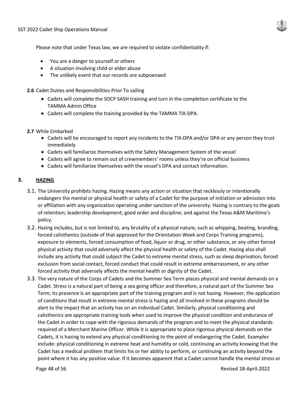

Please note that under Texas law, we are required to violate confidentiality if:

- You are a danger to yourself or others
- A situation involving child or elder abuse
- The unlikely event that our records are subpoenaed

**2.6** Cadet Duties and Responsibilities Prior To sailing

- Cadets will complete the SOCP SASH training and turn in the completion certificate to the TAMMA Admin Office
- Cadets will complete the training provided by the TAMMA TIX-DPA.
- **2.7** While Embarked
	- Cadets will be encouraged to report any incidents to the TIX-DPA and/or DPA or any person they trust immediately
	- Cadets will familiarize themselves with the Safety Management System of the vessel
	- Cadets will agree to remain out of crewmembers' rooms unless they're on official business
	- Cadets will familiarize themselves with the vessel's DPA and contact information.

#### <span id="page-47-0"></span>**3. HAZING**

- 3.1. The University prohibits hazing. Hazing means any action or situation that recklessly or intentionally endangers the mental or physical health or safety of a Cadet for the purpose of initiation or admission into or affiliation with any organization operating under sanction of the university. Hazing is contrary to the goals of retention; leadership development; good order and discipline; and against the Texas A&M Maritime's policy.
- 3.2. Hazing includes, but is not limited to, any brutality of a physical nature, such as whipping, beating, branding, forced calisthenics (outside of that approved for the Orientation Week and Corps Training programs), exposure to elements, forced consumption of food, liquor or drug, or other substance, or any other forced physical activity that could adversely affect the physical health or safety of the Cadet. Hazing also shall include any activity that could subject the Cadet to extreme mental stress, such as sleep deprivation, forced exclusion from social contact, forced conduct that could result in extreme embarrassment, or any other forced activity that adversely affects the mental health or dignity of the Cadet.
- 3.3. The very nature of the Corps of Cadets and the Summer Sea Term places physical and mental demands on a Cadet. Stress is a natural part of being a sea going officer and therefore, a natural part of the Summer Sea Term; its presence is an appropriate part of the training program and is not hazing. However, the application of conditions that result in extreme mental stress is hazing and all involved in these programs should be alert to the impact that an activity has on an individual Cadet. Similarly, physical conditioning and calisthenics are appropriate training tools when used to improve the physical condition and endurance of the Cadet in order to cope with the rigorous demands of the program and to meet the physical standards required of a Merchant Marine Officer. While it is appropriate to place rigorous physical demands on the Cadets, it is hazing to extend any physical conditioning to the point of endangering the Cadet. Examples include: physical conditioning in extreme heat and humidity or cold, continuing an activity knowing that the Cadet has a medical problem that limits his or her ability to perform, or continuing an activity beyond the point where it has any positive value. If it becomes apparent that a Cadet cannot handle the mental stress or

Page 48 of 56 Revised 18-April-2022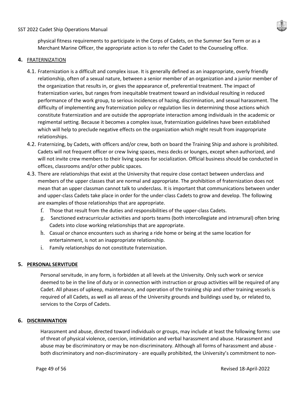physical fitness requirements to participate in the Corps of Cadets, on the Summer Sea Term or as a Merchant Marine Officer, the appropriate action is to refer the Cadet to the Counseling office.

#### **4.** FRATERNIZATION

- 4.1. Fraternization is a difficult and complex issue. It is generally defined as an inappropriate, overly friendly relationship, often of a sexual nature, between a senior member of an organization and a junior member of the organization that results in, or gives the appearance of, preferential treatment. The impact of fraternization varies, but ranges from inequitable treatment toward an individual resulting in reduced performance of the work group, to serious incidences of hazing, discrimination, and sexual harassment. The difficulty of implementing any fraternization policy or regulation lies in determining those actions which constitute fraternization and are outside the appropriate interaction among individuals in the academic or regimental setting. Because it becomes a complex issue, fraternization guidelines have been established which will help to preclude negative effects on the organization which might result from inappropriate relationships.
- 4.2. Fraternizing, by Cadets, with officers and/or crew, both on board the Training Ship and ashore is prohibited. Cadets will not frequent officer or crew living spaces, mess decks or lounges, except when authorized, and will not invite crew members to their living spaces for socialization. Official business should be conducted in offices, classrooms and/or other public spaces.
- 4.3. There are relationships that exist at the University that require close contact between underclass and members of the upper classes that are normal and appropriate. The prohibition of fraternization does not mean that an upper classman cannot talk to underclass. It is important that communications between under and upper-class Cadets take place in order for the under-class Cadets to grow and develop. The following are examples of those relationships that are appropriate.
	- f. Those that result from the duties and responsibilities of the upper-class Cadets.
	- g. Sanctioned extracurricular activities and sports teams (both intercollegiate and intramural) often bring Cadets into close working relationships that are appropriate.
	- h. Casual or chance encounters such as sharing a ride home or being at the same location for entertainment, is not an inappropriate relationship.
	- i. Family relationships do not constitute fraternization.

#### <span id="page-48-0"></span>**5. PERSONAL SERVITUDE**

Personal servitude, in any form, is forbidden at all levels at the University. Only such work or service deemed to be in the line of duty or in connection with instruction or group activities will be required of any Cadet. All phases of upkeep, maintenance, and operation of the training ship and other training vessels is required of all Cadets, as well as all areas of the University grounds and buildings used by, or related to, services to the Corps of Cadets.

#### <span id="page-48-1"></span>**6. DISCRIMINATION**

Harassment and abuse, directed toward individuals or groups, may include at least the following forms: use of threat of physical violence, coercion, intimidation and verbal harassment and abuse. Harassment and abuse may be discriminatory or may be non-discriminatory. Although all forms of harassment and abuse both discriminatory and non-discriminatory - are equally prohibited, the University's commitment to non-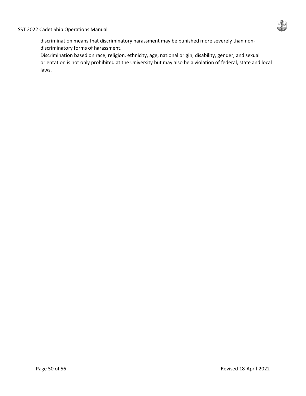



discrimination means that discriminatory harassment may be punished more severely than nondiscriminatory forms of harassment.

Discrimination based on race, religion, ethnicity, age, national origin, disability, gender, and sexual orientation is not only prohibited at the University but may also be a violation of federal, state and local laws.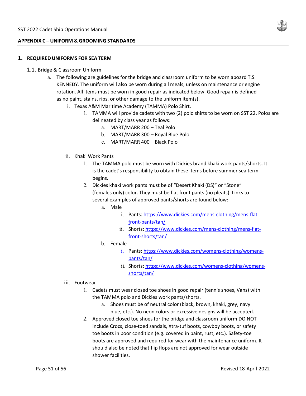

#### <span id="page-50-0"></span>**APPENDIX C – UNIFORM & GROOMING STANDARDS**

#### <span id="page-50-1"></span>**1. REQUIRED UNIFORMS FOR SEA TERM**

- 1.1. Bridge & Classroom Uniform
	- a. The following are guidelines for the bridge and classroom uniform to be worn aboard T.S. KENNEDY. The uniform will also be worn during all meals, unless on maintenance or engine rotation. All items must be worn in good repair as indicated below. Good repair is defined as no paint, stains, rips, or other damage to the uniform item(s).
		- i. Texas A&M Maritime Academy (TAMMA) Polo Shirt.
			- 1. TAMMA will provide cadets with two (2) polo shirts to be worn on SST 22. Polos are delineated by class year as follows:
				- a. MART/MARR 200 Teal Polo
				- b. MART/MARR 300 Royal Blue Polo
				- c. MART/MARR 400 Black Polo
		- ii. Khaki Work Pants
			- 1. The TAMMA polo must be worn with Dickies brand khaki work pants/shorts. It is the cadet's responsibility to obtain these items before summer sea term begins.
			- 2. Dickies khaki work pants must be of "Desert Khaki (DS)" or "Stone" (females only) color. They must be flat front pants (no pleats). Links to several examples of approved pants/shorts are found below:
				- a. Male
					- i. Pants: [https://www.dickies.com/mens-clothing/mens-flat](https://www.dickies.com/mens-clothing/mens-flat-front-pants/tan/)[front-pants/tan/](https://www.dickies.com/mens-clothing/mens-flat-front-pants/tan/)
					- ii. Shorts: [https://www.dickies.com/mens-clothing/mens-flat](https://www.dickies.com/mens-clothing/mens-flat-front-shorts/tan/)[front-shorts/tan/](https://www.dickies.com/mens-clothing/mens-flat-front-shorts/tan/)
				- b. Female
					- i. Pants: [https://www.dickies.com/womens-clothing/womens](https://www.dickies.com/womens-clothing/womens-pants/tan/)[pants/tan/](https://www.dickies.com/womens-clothing/womens-pants/tan/)
					- ii. Shorts: [https://www.dickies.com/womens-clothing/womens](https://www.dickies.com/womens-clothing/womens-shorts/tan/)[shorts/tan/](https://www.dickies.com/womens-clothing/womens-shorts/tan/)
		- iii. Footwear
			- 1. Cadets must wear closed toe shoes in good repair (tennis shoes, Vans) with the TAMMA polo and Dickies work pants/shorts.
				- a. Shoes must be of neutral color (black, brown, khaki, grey, navy blue, etc.). No neon colors or excessive designs will be accepted.
			- 2. Approved closed toe shoes for the bridge and classroom uniform DO NOT include Crocs, close-toed sandals, Xtra-tuf boots, cowboy boots, or safety toe boots in poor condition (e.g. covered in paint, rust, etc.). Safety-toe boots are approved and required for wear with the maintenance uniform. It should also be noted that flip flops are not approved for wear outside shower facilities.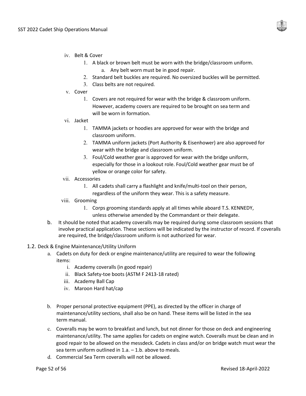

- iv. Belt & Cover
	- 1. A black or brown belt must be worn with the bridge/classroom uniform.
		- a. Any belt worn must be in good repair.
	- 2. Standard belt buckles are required. No oversized buckles will be permitted.
	- 3. Class belts are not required.
- v. Cover
	- 1. Covers are not required for wear with the bridge & classroom uniform. However, academy covers are required to be brought on sea term and will be worn in formation.
- vi. Jacket
	- 1. TAMMA jackets or hoodies are approved for wear with the bridge and classroom uniform.
	- 2. TAMMA uniform jackets (Port Authority & Eisenhower) are also approved for wear with the bridge and classroom uniform.
	- 3. Foul/Cold weather gear is approved for wear with the bridge uniform, especially for those in a lookout role. Foul/Cold weather gear must be of yellow or orange color for safety.
- vii. Accessories
	- 1. All cadets shall carry a flashlight and knife/multi-tool on their person, regardless of the uniform they wear. This is a safety measure.
- viii. Grooming
	- 1. Corps grooming standards apply at all times while aboard T.S. KENNEDY, unless otherwise amended by the Commandant or their delegate.
- b. It should be noted that academy coveralls may be required during some classroom sessions that involve practical application. These sections will be indicated by the instructor of record. If coveralls are required, the bridge/classroom uniform is not authorized for wear.
- 1.2. Deck & Engine Maintenance/Utility Uniform
	- a. Cadets on duty for deck or engine maintenance/utility are required to wear the following items:
		- i. Academy coveralls (in good repair)
		- ii. Black Safety-toe boots (ASTM F 2413-18 rated)
		- iii. Academy Ball Cap
		- iv. Maroon Hard hat/cap
	- b. Proper personal protective equipment (PPE), as directed by the officer in charge of maintenance/utility sections, shall also be on hand. These items will be listed in the sea term manual.
	- c. Coveralls may be worn to breakfast and lunch, but not dinner for those on deck and engineering maintenance/utility. The same applies for cadets on engine watch. Coveralls must be clean and in good repair to be allowed on the messdeck. Cadets in class and/or on bridge watch must wear the sea term uniform outlined in 1.a. – 1.b. above to meals.
	- d. Commercial Sea Term coveralls will not be allowed.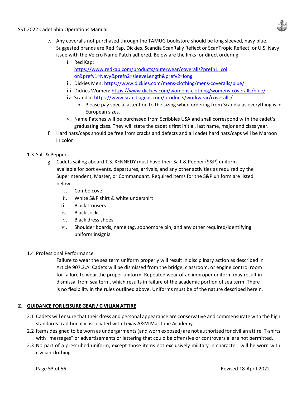

- e. Any coveralls not purchased through the TAMUG bookstore should be long sleeved, navy blue. Suggested brands are Red Kap, Dickies, Scandia ScanRally Reflect or ScanTropic Reflect, or U.S. Navy issue with the Velcro Name Patch adhered. Below are the links for direct ordering.
	- i. Red Kap: [https://www.redkap.com/products/outerwear/coveralls?prefn1=col](https://www.redkap.com/products/outerwear/coveralls?prefn1=color&prefv1=Navy&prefn2=sleeveLength&prefv2=long) [or&prefv1=Navy&prefn2=sleeveLength&prefv2=long](https://www.redkap.com/products/outerwear/coveralls?prefn1=color&prefv1=Navy&prefn2=sleeveLength&prefv2=long)
	- ii. Dickies Men: [https://www.dickies.com/mens-clothing/mens-coveralls/blue/](http://www.dickies.com/mens-clothing/mens-coveralls/blue/)
	- iii. Dickies Women: [https://www.dickies.com/womens-clothing/womens-coveralls/blue/](http://www.dickies.com/womens-clothing/womens-coveralls/blue/)
	- iv. Scandia:<https://www.scandiagear.com/products/workwear/coveralls/>
		- Please pay special attention to the sizing when ordering from Scandia as everything is in European sizes.
	- v. Name Patches will be purchased from Scribbles USA and shall correspond with the cadet's graduating class. They will state the cadet's first initial, last name, major and class year.
- f. Hard hats/caps should be free from cracks and defects and all cadet hard hats/caps will be Maroon in color

#### 1.3 Salt & Peppers

- g. Cadets sailing aboard T.S. KENNEDY must have their Salt & Pepper (S&P) uniform available for port events, departures, arrivals, and any other activities as required by the Superintendent, Master, or Commandant. Required items for the S&P uniform are listed below:
	- i. Combo cover
	- ii. White S&P shirt & white undershirt
	- iii. Black trousers
	- iv. Black socks
	- v. Black dress shoes
	- vi. Shoulder boards, name tag, sophomore pin, and any other required/identifying uniform insignia

#### 1.4 Professional Performance

Failure to wear the sea term uniform properly will result in disciplinary action as described in Article 907.2.A. Cadets will be dismissed from the bridge, classroom, or engine control room for failure to wear the proper uniform. Repeated wear of an improper uniform may result in dismissal from sea term, which results in failure of the academic portion of sea term. There is no flexibility in the rules outlined above. Uniforms must be of the nature described herein.

#### <span id="page-52-0"></span>**2. GUIDANCE FOR LEISURE GEAR / CIVILIAN ATTIRE**

- 2.1 Cadets will ensure that their dress and personal appearance are conservative and commensurate with the high standards traditionally associated with Texas A&M Maritime Academy.
- 2.2 Items designed to be worn as undergarments (and worn exposed) are not authorized for civilian attire. T-shirts with "messages" or advertisements or lettering that could be offensive or controversial are not permitted.
- 2.3 No part of a prescribed uniform, except those items not exclusively military in character, will be worn with civilian clothing.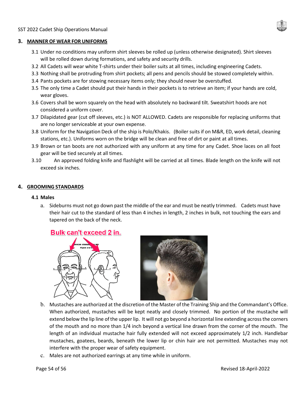

#### <span id="page-53-0"></span>**3. MANNER OF WEAR FOR UNIFORMS**

- 3.1 Under no conditions may uniform shirt sleeves be rolled up (unless otherwise designated). Shirt sleeves will be rolled down during formations, and safety and security drills.
- 3.2 All Cadets will wear white T-shirts under their boiler suits at all times, including engineering Cadets.
- 3.3 Nothing shall be protruding from shirt pockets; all pens and pencils should be stowed completely within.
- 3.4 Pants pockets are for stowing necessary items only; they should never be overstuffed.
- 3.5 The only time a Cadet should put their hands in their pockets is to retrieve an item; if your hands are cold, wear gloves.
- 3.6 Covers shall be worn squarely on the head with absolutely no backward tilt. Sweatshirt hoods are not considered a uniform cover.
- 3.7 Dilapidated gear (cut off sleeves, etc.) is NOT ALLOWED. Cadets are responsible for replacing uniforms that are no longer serviceable at your own expense.
- 3.8 Uniform for the Navigation Deck of the ship is Polo/Khakis. (Boiler suits if on M&R, ED, work detail, cleaning stations, etc.). Uniforms worn on the bridge will be clean and free of dirt or paint at all times.
- 3.9 Brown or tan boots are not authorized with any uniform at any time for any Cadet. Shoe laces on all foot gear will be tied securely at all times.
- 3.10 An approved folding knife and flashlight will be carried at all times. Blade length on the knife will not exceed six inches.

#### <span id="page-53-1"></span>**4. GROOMING STANDARDS**

#### **4.1 Males**

a. Sideburns must not go down past the middle of the ear and must be neatly trimmed. Cadets must have their hair cut to the standard of less than 4 inches in length, 2 inches in bulk, not touching the ears and tapered on the back of the neck.

### Bulk can't exceed 2 in.





- b. Mustaches are authorized at the discretion of the Master of the Training Ship and the Commandant's Office. When authorized, mustaches will be kept neatly and closely trimmed. No portion of the mustache will extend below the lip line of the upper lip. It will not go beyond a horizontal line extending across the corners of the mouth and no more than 1/4 inch beyond a vertical line drawn from the corner of the mouth. The length of an individual mustache hair fully extended will not exceed approximately 1/2 inch. Handlebar mustaches, goatees, beards, beneath the lower lip or chin hair are not permitted. Mustaches may not interfere with the proper wear of safety equipment.
- c. Males are not authorized earrings at any time while in uniform.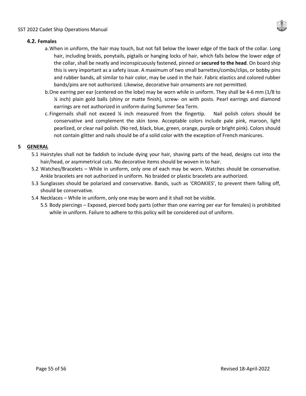

#### **4.2. Females**

- a.When in uniform, the hair may touch, but not fall below the lower edge of the back of the collar. Long hair, including braids, ponytails, pigtails or hanging locks of hair, which falls below the lower edge of the collar, shall be neatly and inconspicuously fastened, pinned or **secured to the head**. On board ship this is very important as a safety issue. A maximum of two small barrettes/combs/clips, or bobby pins and rubber bands, all similar to hair color, may be used in the hair. Fabric elastics and colored rubber bands/pins are not authorized. Likewise, decorative hair ornaments are not permitted.
- b.One earring per ear (centered on the lobe) may be worn while in uniform. They shall be 4-6 mm (1/8 to ¼ inch) plain gold balls (shiny or matte finish), screw- on with posts. Pearl earrings and diamond earrings are not authorized in uniform during Summer Sea Term.
- c. Fingernails shall not exceed ¼ inch measured from the fingertip. Nail polish colors should be conservative and complement the skin tone. Acceptable colors include pale pink, maroon, light pearlized, or clear nail polish. (No red, black, blue, green, orange, purple or bright pink). Colors should not contain glitter and nails should be of a solid color with the exception of French manicures.

#### <span id="page-54-0"></span>**5 GENERAL**

- 5.1 Hairstyles shall not be faddish to include dying your hair, shaving parts of the head, designs cut into the hair/head, or asymmetrical cuts. No decorative items should be woven in to hair.
- 5.2 Watches/Bracelets While in uniform, only one of each may be worn. Watches should be conservative. Ankle bracelets are not authorized in uniform. No braided or plastic bracelets are authorized.
- 5.3 Sunglasses should be polarized and conservative. Bands, such as 'CROAKIES', to prevent them falling off, should be conservative.
- 5.4 Necklaces While in uniform, only one may be worn and it shall not be visible.
	- 5.5 Body piercings Exposed, pierced body parts (other than one earring per ear for females) is prohibited while in uniform. Failure to adhere to this policy will be considered out of uniform.